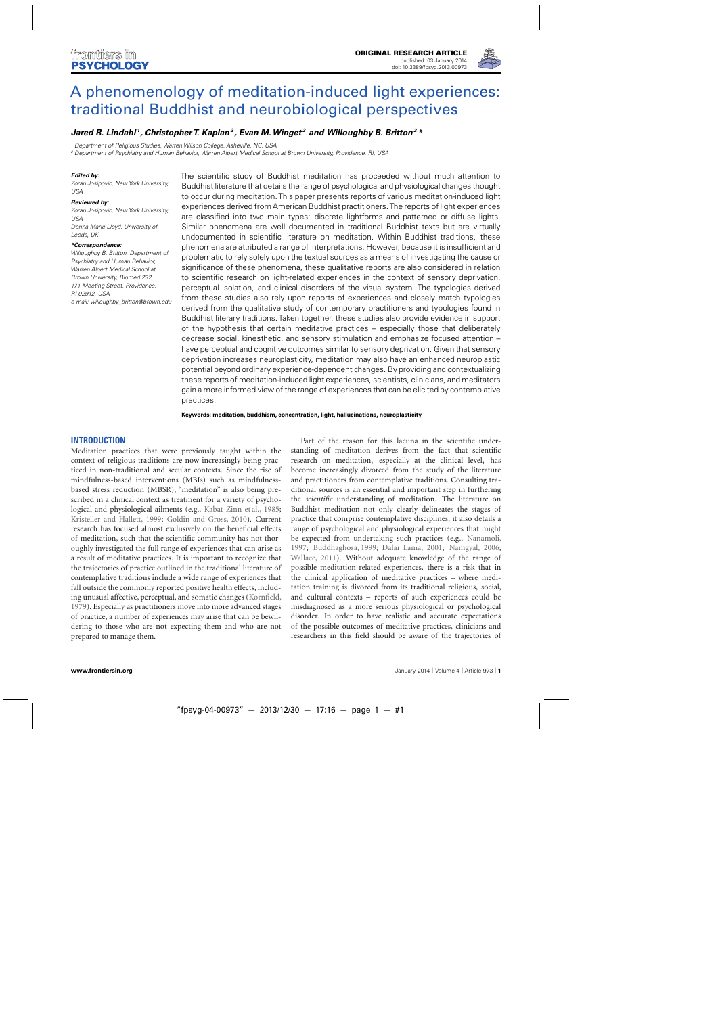

# [A phenomenology of meditation-induced light experiences:](http://www.frontiersin.org/journal/10.3389/fpsyg.2013.00973/abstract) traditional Buddhist and neurobiological perspectives

# *[Jared R. Lindahl](http://community.frontiersin.org/people/JaredLindahl/127984) 1, [Christopher T. Kaplan](http://www.frontiersin.org/people/u/92038)2 , [Evan M.Winget](http://community.frontiersin.org/people/EvanWinget/126960) <sup>2</sup> and [Willoughby B. Britton](http://www.frontiersin.org/people/u/37252)2 \**

<sup>1</sup> Department of Religious Studies, Warren Wilson College, Asheville, NC, USA

<sup>2</sup> Department of Psychiatry and Human Behavior, Warren Alpert Medical School at Brown University, Providence, RI, USA

#### *Edited by:*

Zoran Josipovic, New York University,  $11S<sub>A</sub>$ 

#### *Reviewed by:*

Zoran Josipovic, New York University, USA Donna Marie Lloyd, University of Leeds, UK

#### *\*Correspondence:*

Willoughby B. Britton, Department of Psychiatry and Human Behavior, Warren Alpert Medical School at Brown University, Biomed 232, 171 Meeting Street, Providence, RI 02912, USA e-mail: [willoughby\\_](mailto:willoughby)britton@brown.edu The scientific study of Buddhist meditation has proceeded without much attention to Buddhist literature that details the range of psychological and physiological changes thought to occur during meditation. This paper presents reports of various meditation-induced light experiences derived from American Buddhist practitioners.The reports of light experiences are classified into two main types: discrete lightforms and patterned or diffuse lights. Similar phenomena are well documented in traditional Buddhist texts but are virtually undocumented in scientific literature on meditation. Within Buddhist traditions, these phenomena are attributed a range of interpretations. However, because it is insufficient and problematic to rely solely upon the textual sources as a means of investigating the cause or significance of these phenomena, these qualitative reports are also considered in relation to scientific research on light-related experiences in the context of sensory deprivation, perceptual isolation, and clinical disorders of the visual system. The typologies derived from these studies also rely upon reports of experiences and closely match typologies derived from the qualitative study of contemporary practitioners and typologies found in Buddhist literary traditions. Taken together, these studies also provide evidence in support of the hypothesis that certain meditative practices – especially those that deliberately decrease social, kinesthetic, and sensory stimulation and emphasize focused attention – have perceptual and cognitive outcomes similar to sensory deprivation. Given that sensory deprivation increases neuroplasticity, meditation may also have an enhanced neuroplastic potential beyond ordinary experience-dependent changes. By providing and contextualizing these reports of meditation-induced light experiences, scientists, clinicians, and meditators gain a more informed view of the range of experiences that can be elicited by contemplative practices.

#### **Keywords: meditation, buddhism, concentration, light, hallucinations, neuroplasticity**

# **INTRODUCTION**

Meditation practices that were previously taught within the context of religious traditions are now increasingly being practiced in non-traditional and secular contexts. Since the rise of mindfulness-based interventions (MBIs) such as mindfulnessbased stress reduction (MBSR), "meditation" is also being prescribed in a clinical context as treatment for a variety of psychological and physiological ailments (e.g., [Kabat-Zinn et al., 1985](#page-13-0); [Kristeller and Hallett, 1999;](#page-13-0) [Goldin and Gross](#page-13-0), [2010\)](#page-13-0). Current research has focused almost exclusively on the beneficial effects of meditation, such that the scientific community has not thoroughly investigated the full range of experiences that can arise as a result of meditative practices. It is important to recognize that the trajectories of practice outlined in the traditional literature of contemplative traditions include a wide range of experiences that fall outside the commonly reported positive health effects, including unusual affective, perceptual, and somatic changes [\(Kornfield](#page-13-0), [1979\)](#page-13-0). Especially as practitioners move into more advanced stages of practice, a number of experiences may arise that can be bewildering to those who are not expecting them and who are not prepared to manage them.

Part of the reason for this lacuna in the scientific understanding of meditation derives from the fact that scientific research on meditation, especially at the clinical level, has become increasingly divorced from the study of the literature and practitioners from contemplative traditions. Consulting traditional sources is an essential and important step in furthering the *scientific* understanding of meditation. The literature on Buddhist meditation not only clearly delineates the stages of practice that comprise contemplative disciplines, it also details a range of psychological and physiological experiences that might be expected from undertaking such practices (e.g., [Nanamoli](#page-14-0), [1997;](#page-14-0) [Buddhaghosa](#page-12-0), [1999;](#page-12-0) [Dalai Lama](#page-12-0), [2001](#page-12-0); [Namgyal](#page-14-0), [2006;](#page-14-0) [Wallace](#page-14-0), [2011\)](#page-14-0). Without adequate knowledge of the range of possible meditation-related experiences, there is a risk that in the clinical application of meditative practices – where meditation training is divorced from its traditional religious, social, and cultural contexts – reports of such experiences could be misdiagnosed as a more serious physiological or psychological disorder. In order to have realistic and accurate expectations of the possible outcomes of meditative practices, clinicians and researchers in this field should be aware of the trajectories of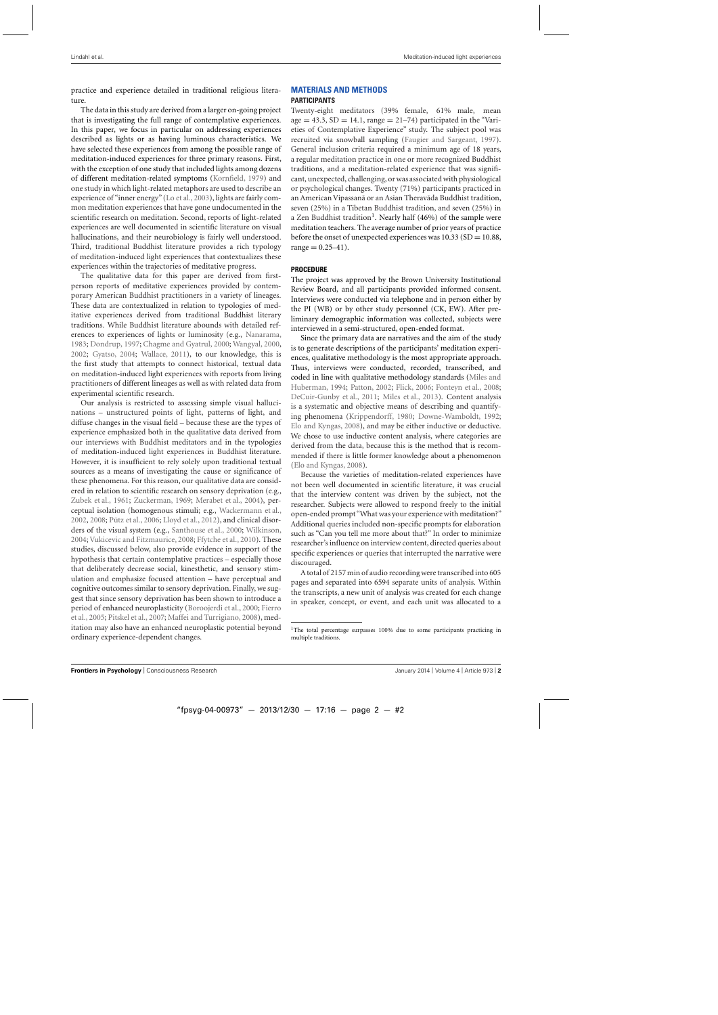practice and experience detailed in traditional religious literature.

The data in this study are derived from a larger on-going project that is investigating the full range of contemplative experiences. In this paper, we focus in particular on addressing experiences described as lights or as having luminous characteristics. We have selected these experiences from among the possible range of meditation-induced experiences for three primary reasons. First, with the exception of one study that included lights among dozens of different meditation-related symptoms [\(Kornfield](#page-13-0), [1979](#page-13-0)) and one study in which light-related metaphors are used to describe an experience of "inner energy" [\(Lo et al., 2003\)](#page-13-0), lights are fairly common meditation experiences that have gone undocumented in the scientific research on meditation. Second, reports of light-related experiences are well documented in scientific literature on visual hallucinations, and their neurobiology is fairly well understood. Third, traditional Buddhist literature provides a rich typology of meditation-induced light experiences that contextualizes these experiences within the trajectories of meditative progress.

The qualitative data for this paper are derived from firstperson reports of meditative experiences provided by contemporary American Buddhist practitioners in a variety of lineages. These data are contextualized in relation to typologies of meditative experiences derived from traditional Buddhist literary traditions. While Buddhist literature abounds with detailed references to experiences of lights or luminosity (e.g., [Nanarama](#page-14-0), [1983;](#page-14-0) [Dondrup, 1997;](#page-12-0) [Chagme and Gyatrul](#page-12-0), [2000](#page-12-0); [Wangyal, 2000](#page-14-0), [2002;](#page-14-0) [Gyatso, 2004;](#page-13-0) [Wallace, 2011](#page-14-0)), to our knowledge, this is the first study that attempts to connect historical, textual data on meditation-induced light experiences with reports from living practitioners of different lineages as well as with related data from experimental scientific research.

Our analysis is restricted to assessing simple visual hallucinations – unstructured points of light, patterns of light, and diffuse changes in the visual field – because these are the types of experience emphasized both in the qualitative data derived from our interviews with Buddhist meditators and in the typologies of meditation-induced light experiences in Buddhist literature. However, it is insufficient to rely solely upon traditional textual sources as a means of investigating the cause or significance of these phenomena. For this reason, our qualitative data are considered in relation to scientific research on sensory deprivation (e.g., [Zubek et al.](#page-14-0), [1961](#page-14-0); [Zuckerman, 1969](#page-14-0); [Merabet et al.](#page-14-0), [2004](#page-14-0)), perceptual isolation (homogenous stimuli; e.g., [Wackermann et al.](#page-14-0), [2002,](#page-14-0) [2008](#page-14-0); [Pütz et al., 2006](#page-14-0); [Lloyd et al.](#page-13-0), [2012\)](#page-13-0), and clinical disorders of the visual system (e.g., [Santhouse et al.](#page-14-0), [2000;](#page-14-0) [Wilkinson](#page-14-0), 2004; Vukicevic and Fitzmaurice, [2008](#page-14-0); [Ffytche et al.](#page-13-0), [2010](#page-13-0)). These studies, discussed below, also provide evidence in support of the hypothesis that certain contemplative practices – especially those that deliberately decrease social, kinesthetic, and sensory stimulation and emphasize focused attention – have perceptual and cognitive outcomes similar to sensory deprivation. Finally, we suggest that since sensory deprivation has been shown to introduce a peri[od of enhanced neuroplasticity](#page-13-0) [\(Boroojerdi et al., 2000](#page-12-0)[;](#page-13-0) Fierro et al., [2005;](#page-13-0) [Pitskel et al.](#page-14-0), [2007](#page-14-0); [Maffei and Turrigiano](#page-13-0), [2008](#page-13-0)), meditation may also have an enhanced neuroplastic potential beyond ordinary experience-dependent changes.

# **MATERIALS AND METHODS**

#### **PARTICIPANTS**

Twenty-eight meditators (39% female, 61% male, mean  $age = 43.3, SD = 14.1, range = 21–74)$  participated in the "Varieties of Contemplative Experience" study. The subject pool was recruited via snowball sampling [\(Faugier and Sargeant](#page-12-0), [1997](#page-12-0)). General inclusion criteria required a minimum age of 18 years, a regular meditation practice in one or more recognized Buddhist traditions, and a meditation-related experience that was significant, unexpected, challenging, or was associated with physiological or psychological changes. Twenty (71%) participants practiced in an American Vipassanā or an Asian Theravāda Buddhist tradition, seven (25%) in a Tibetan Buddhist tradition, and seven (25%) in a Zen Buddhist tradition<sup>1</sup>. Nearly half (46%) of the sample were meditation teachers. The average number of prior years of practice before the onset of unexpected experiences was  $10.33$  (SD =  $10.88$ ,  $range = 0.25 - 41$ .

## **PROCEDURE**

The project was approved by the Brown University Institutional Review Board, and all participants provided informed consent. Interviews were conducted via telephone and in person either by the PI (WB) or by other study personnel (CK, EW). After preliminary demographic information was collected, subjects were interviewed in a semi-structured, open-ended format.

Since the primary data are narratives and the aim of the study is to generate descriptions of the participants' meditation experiences, qualitative methodology is the most appropriate approach. Thus, interviews were conducted, recorded, transcribed, and coded in li[ne with qualitative methodology standards \(](#page-14-0)Miles and Huberman, [1994](#page-14-0); [Patton](#page-14-0), [2002](#page-14-0); [Flick](#page-13-0), [2006](#page-13-0); [Fonteyn et al., 2008;](#page-13-0) [DeCuir-Gunby et al.](#page-12-0), [2011;](#page-12-0) [Miles et al., 2013](#page-14-0)). Content analysis is a systematic and objective means of describing and quantifying phenomena [\(Krippendorff](#page-13-0), [1980](#page-13-0); [Downe-Wamboldt, 1992;](#page-12-0) [Elo and Kyngas, 2008](#page-12-0)), and may be either inductive or deductive. We chose to use inductive content analysis, where categories are derived from the data, because this is the method that is recommended if there is little former knowledge about a phenomenon [\(Elo and Kyngas](#page-12-0), [2008](#page-12-0)).

Because the varieties of meditation-related experiences have not been well documented in scientific literature, it was crucial that the interview content was driven by the subject, not the researcher. Subjects were allowed to respond freely to the initial open-ended prompt"What was your experience with meditation?" Additional queries included non-specific prompts for elaboration such as "Can you tell me more about that?" In order to minimize researcher's influence on interview content, directed queries about specific experiences or queries that interrupted the narrative were discouraged.

A total of 2157 min of audio recording were transcribed into 605 pages and separated into 6594 separate units of analysis. Within the transcripts, a new unit of analysis was created for each change in speaker, concept, or event, and each unit was allocated to a

<sup>&</sup>lt;sup>1</sup>The total percentage surpasses 100% due to some participants practicing in multiple traditions.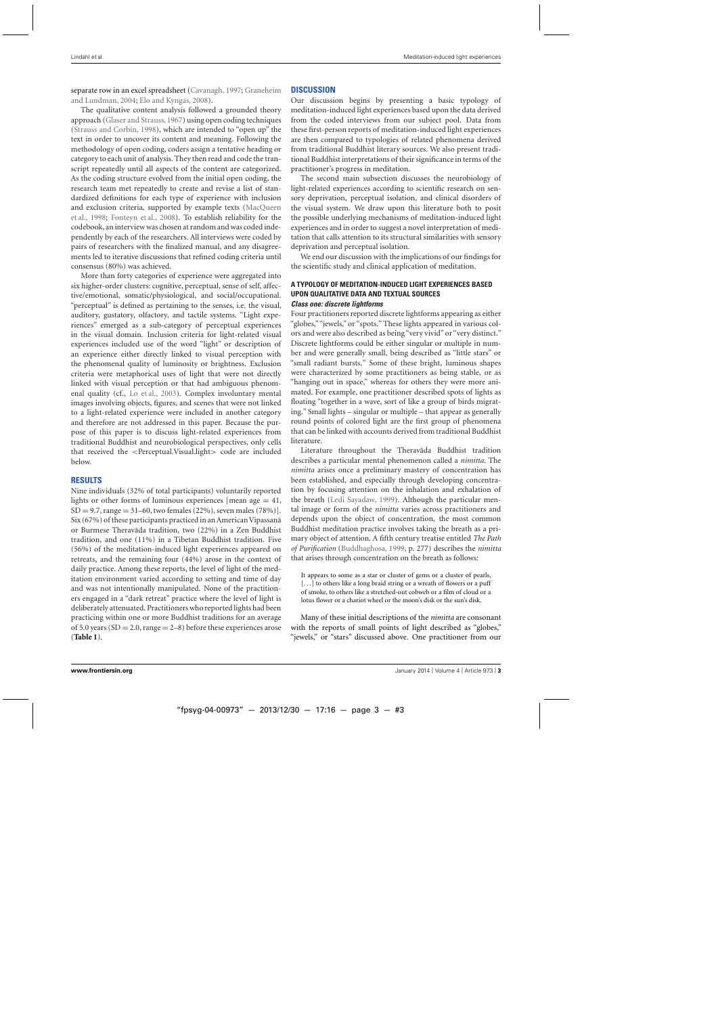separate row i[n](#page-13-0) [an](#page-13-0) [excel](#page-13-0) [spreadsheet](#page-13-0) [\(Cavanagh](#page-12-0)[,](#page-13-0) [1997](#page-12-0)[;](#page-13-0) Graneheim and Lundman, [2004;](#page-13-0) [Elo and Kyngas, 2008](#page-12-0)).

The qualitative content analysis followed a grounded theory approach [\(Glaser and Strauss, 1967](#page-13-0)) using open coding techniques [\(Strauss and Corbin, 1998](#page-14-0)), which are intended to "open up" the text in order to uncover its content and meaning. Following the methodology of open coding, coders assign a tentative heading or category to each unit of analysis. They then read and code the transcript repeatedly until all aspects of the content are categorized. As the coding structure evolved from the initial open coding, the research team met repeatedly to create and revise a list of standardized definitions for each type of experience with inclusion and [exclusion criteria, supported by example texts \(](#page-13-0)MacQueen et al., [1998](#page-13-0); [Fonteyn et al.](#page-13-0), [2008\)](#page-13-0). To establish reliability for the codebook, an interview was chosen at random and was coded independently by each of the researchers. All interviews were coded by pairs of researchers with the finalized manual, and any disagreements led to iterative discussions that refined coding criteria until consensus (80%) was achieved.

More than forty categories of experience were aggregated into six higher-order clusters: cognitive, perceptual, sense of self, affective/emotional, somatic/physiological, and social/occupational. "perceptual" is defined as pertaining to the senses, i.e. the visual, auditory, gustatory, olfactory, and tactile systems. "Light experiences" emerged as a sub-category of perceptual experiences in the visual domain. Inclusion criteria for light-related visual experiences included use of the word "light" or description of an experience either directly linked to visual perception with the phenomenal quality of luminosity or brightness. Exclusion criteria were metaphorical uses of light that were not directly linked with visual perception or that had ambiguous phenomenal quality (cf., [Lo et al.](#page-13-0), [2003](#page-13-0)). Complex involuntary mental images involving objects, figures, and scenes that were not linked to a light-related experience were included in another category and therefore are not addressed in this paper. Because the purpose of this paper is to discuss light-related experiences from traditional Buddhist and neurobiological perspectives, only cells that received the <Perceptual.Visual.light> code are included below.

## **RESULTS**

Nine individuals (32% of total participants) voluntarily reported lights or other forms of luminous experiences [mean age  $= 41$ ,  $SD = 9.7$ , range  $= 31-60$ , two females (22%), seven males (78%)].  $\text{Six } (67\%)$  of these participants practiced in an American Vipassanā or Burmese Theravāda tradition, two (22%) in a Zen Buddhist tradition, and one (11%) in a Tibetan Buddhist tradition. Five (56%) of the meditation-induced light experiences appeared on retreats, and the remaining four (44%) arose in the context of daily practice. Among these reports, the level of light of the meditation environment varied according to setting and time of day and was not intentionally manipulated. None of the practitioners engaged in a "dark retreat" practice where the level of light is deliberately attenuated. Practitioners who reported lights had been practicing within one or more Buddhist traditions for an average of 5.0 years  $(SD = 2.0, \text{range} = 2-8)$  before these experiences arose (**[Table 1](#page-3-0)**).

# **DISCUSSION**

Our discussion begins by presenting a basic typology of meditation-induced light experiences based upon the data derived from the coded interviews from our subject pool. Data from these first-person reports of meditation-induced light experiences are then compared to typologies of related phenomena derived from traditional Buddhist literary sources. We also present traditional Buddhist interpretations of their significance in terms of the practitioner's progress in meditation.

The second main subsection discusses the neurobiology of light-related experiences according to scientific research on sensory deprivation, perceptual isolation, and clinical disorders of the visual system. We draw upon this literature both to posit the possible underlying mechanisms of meditation-induced light experiences and in order to suggest a novel interpretation of meditation that calls attention to its structural similarities with sensory deprivation and perceptual isolation.

We end our discussion with the implications of our findings for the scientific study and clinical application of meditation.

## **A TYPOLOGY OF MEDITATION-INDUCED LIGHT EXPERIENCES BASED UPON QUALITATIVE DATA AND TEXTUAL SOURCES** *Class one: discrete lightforms*

Four practitioners reported discrete lightforms appearing as either "globes," "jewels," or "spots." These lights appeared in various colors and were also described as being "very vivid" or "very distinct." Discrete lightforms could be either singular or multiple in number and were generally small, being described as "little stars" or "small radiant bursts." Some of these bright, luminous shapes were characterized by some practitioners as being stable, or as "hanging out in space," whereas for others they were more animated. For example, one practitioner described spots of lights as floating "together in a wave, sort of like a group of birds migrating." Small lights – singular or multiple – that appear as generally round points of colored light are the first group of phenomena that can be linked with accounts derived from traditional Buddhist literature.

Literature throughout the Theravada Buddhist tradition describes a particular mental phenomenon called a *nimitta*. The *nimitta* arises once a preliminary mastery of concentration has been established, and especially through developing concentration by focusing attention on the inhalation and exhalation of the breath [\(Ledi Sayadaw, 1999](#page-13-0)). Although the particular mental image or form of the *nimitta* varies across practitioners and depends upon the object of concentration, the most common Buddhist meditation practice involves taking the breath as a primary object of attention. A fifth century treatise entitled *The Path of Purification* [\(Buddhaghosa](#page-12-0), [1999,](#page-12-0) p. 277) describes the *nimitta* that arises through concentration on the breath as follows:

It appears to some as a star or cluster of gems or a cluster of pearls, [...] to others like a long braid string or a wreath of flowers or a puff of smoke, to others like a stretched-out cobweb or a film of cloud or a lotus flower or a chariot wheel or the moon's disk or the sun's disk.

Many of these initial descriptions of the *nimitta* are consonant with the reports of small points of light described as "globes," "jewels," or "stars" discussed above. One practitioner from our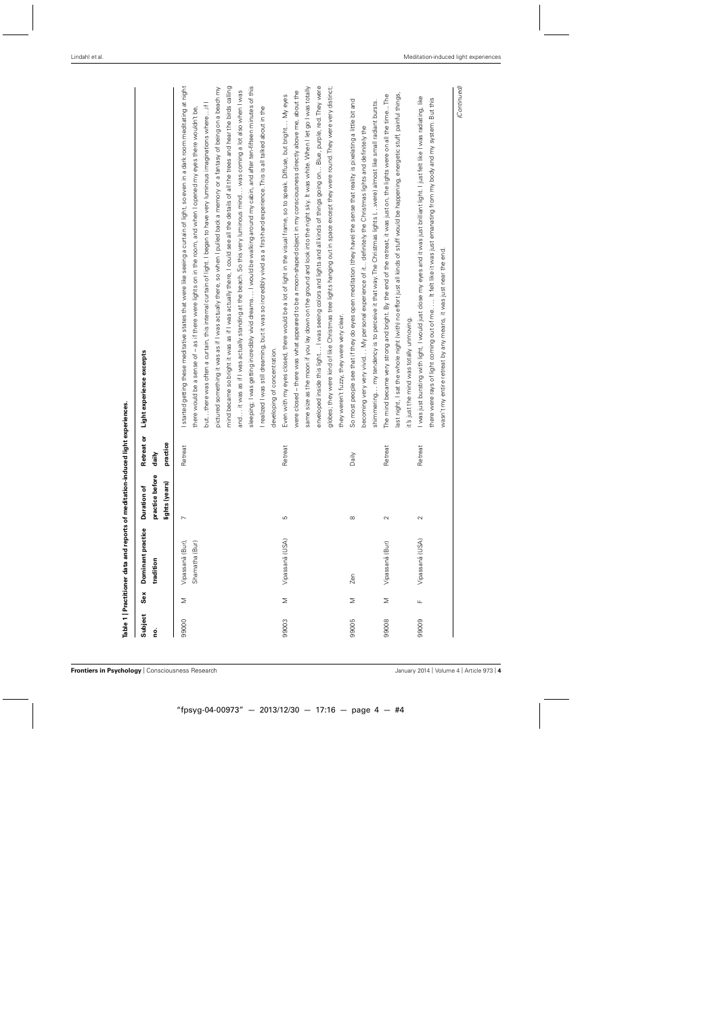<span id="page-3-0"></span>

| Subject<br>o. | Sex | Dominant practice<br>tradition     | practice before<br>lights (years)<br>Duration of | Retreat or<br>practice<br>daily | Light experience excerpts                                                                                                                                                                                                                                                                                                                                                                                                                                                                                                                                                                                                                                                                                                                                                                                                                                                                    |
|---------------|-----|------------------------------------|--------------------------------------------------|---------------------------------|----------------------------------------------------------------------------------------------------------------------------------------------------------------------------------------------------------------------------------------------------------------------------------------------------------------------------------------------------------------------------------------------------------------------------------------------------------------------------------------------------------------------------------------------------------------------------------------------------------------------------------------------------------------------------------------------------------------------------------------------------------------------------------------------------------------------------------------------------------------------------------------------|
| 99000         | Σ   | Vipassanā (Bur),<br>Shamatha (Bur) | $\overline{ }$                                   | Retreat                         | I started getting these meditative states that were like seeing a curtain of light, so even in a dark room meditating at night<br>mind became so bright it was as if I was actually there, I could see all the details of all the trees and hear the birds calling<br>sleeping; I was getting incredibly vivid dreams. I would be walking around my cabin, and after ten-fifteen minutes of this<br>pictured something it was as if I was actually there, so when I pulled back a memory or a fantasy of being on a beach my<br>and it was as if I was actually standing at the beach. So this very luminous mind was coming a lot also when I was<br>butthere was often a curtain, this internal curtain of light. I began to have very luminous imaginations whereif I<br>there would be a sense of – as if there were lights on in the room, and when I opened my eyes there wouldn't be, |
| 99003         | Σ   | Vipassanā (USA)                    | LO                                               | Retreat                         | same size as the moon if you lay down on the ground and look into the night sky. It was white. When I let go I was totally<br>enveloped inside this light. I was seeing colors and lights and all kinds of things going on Blue, purple, red. They were<br>globes; they were kind of like Christmas tree lights hanging out in space except they were round. They were very distinct;<br>were closed - there was what appeared to be a moon-shaped object in my consciousness directly above me, about the<br>Even with my eyes closed, there would be a lot of light in the visual frame, so to speak. Diffuse, but bright My eyes<br>I realized I was still dreaming, but it was so incredibly vivid as a first-hand experience. This is all talked about in the<br>they weren't fuzzy, they were very clear.<br>developing of concentration.                                              |
| 99005         | Σ   | Zen                                | ${}^{\circ}$                                     | Daily                           | So most people see that if they do eyes open meditation (they have) the sense that reality is pixelating a little bit and<br>shimmering my tendency is to perceive it that way. The Christmas lights (. . were) almost like small radiant bursts.<br>becoming very very vivid My personal experience of it definitely the Christmas lights and definitely the                                                                                                                                                                                                                                                                                                                                                                                                                                                                                                                                |
| 99008         | Σ   | Vipassanā (Bur)                    | $\sim$                                           | Retreat                         | last night, I sat the whole night (with) no effort just all kinds of stuff would be happening, energetic stuff, painful things,<br>The mind became very strong and bright. By the end of the retreat, it was just on, the lights were on all the time The<br>it's just the mind was totally unmoving.                                                                                                                                                                                                                                                                                                                                                                                                                                                                                                                                                                                        |
| 99009         | Щ   | Vipassanā (USA)                    | $\sim$                                           | Retreat                         | I was just bursting with light, I would just close my eyes and it was just brilliant light. I just felt like I was radiating, like<br>there were rays of light coming out of me. It felt like it was just emanating from my body and my system. But this<br>wasn't my entire retreat by any means, it was just near the end.                                                                                                                                                                                                                                                                                                                                                                                                                                                                                                                                                                 |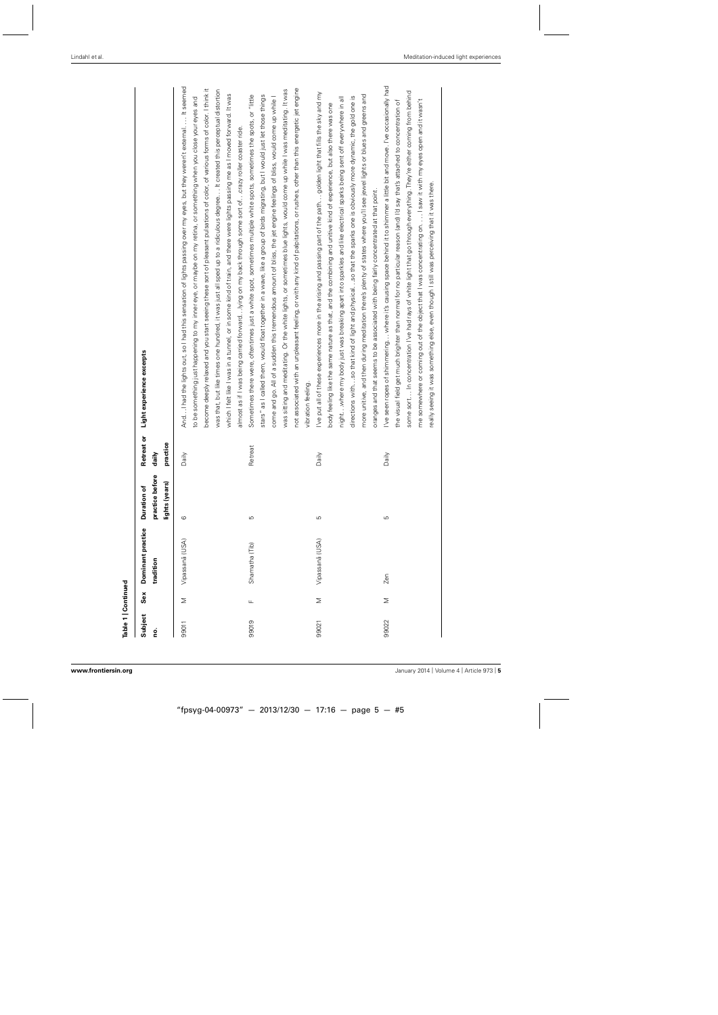| Table 1   Continued |        |                                |                                                  |                                 |                                                                                                                                                                                                                                                                                                                                                                                                                                                                                                                                                                                                                                                                                                                                                         |
|---------------------|--------|--------------------------------|--------------------------------------------------|---------------------------------|---------------------------------------------------------------------------------------------------------------------------------------------------------------------------------------------------------------------------------------------------------------------------------------------------------------------------------------------------------------------------------------------------------------------------------------------------------------------------------------------------------------------------------------------------------------------------------------------------------------------------------------------------------------------------------------------------------------------------------------------------------|
| Subject<br>°        | Sex    | Dominant practice<br>tradition | practice before<br>lights (years)<br>Duration of | letreat or<br>practice<br>daily | Light experience excerpts                                                                                                                                                                                                                                                                                                                                                                                                                                                                                                                                                                                                                                                                                                                               |
| 99011               | Σ      | Vipassanā (USA)                | 6                                                | viie<br>▭                       | And I had the lights out, so I had this sensation of lights passing over my eyes, but they weren't external  It seemed<br>become deeply relaxed and you start seeing these sort of pleasant pulsations of color, of various forms of color. I think it<br>was that, but like times one hundred, it was just all sped up to a ridiculous degree.  It created this perceptual distortion<br>which I felt like I was in a tunnel, or in some kind of train, and there were lights passing me as I moved forward. It was<br>to be something just happening to my inner eye, or maybe on my retina, or something when you close your eyes and<br>almost as if I was being carried forward. . Iying on my back through some sort of crazy roller coaster ride |
| 99019               | Щ      | Shamatha (Tib)                 | LO                                               | etreat<br>Œ                     | not associated with an unpleasant feeling, or with any kind of palpitations, or rushes, other than this energetic jet engine<br>was sitting and meditating. Or the white lights, or sometimes blue lights, would come up while I was meditating. It was<br>Sometimes there were, oftentimes just a white spot, sometimes multiple white spots, sometimes the spots, or "little<br>stars" as I called them, would float together in a wave, like a group of birds migrating, but I would just let those things<br>come and go. All of a sudden this tremendous amount of bliss, the jet engine feelings of bliss, would come up while l<br>vibration feeling.                                                                                            |
| 99021               | $\geq$ | Vipassanā (USA)                | LO                                               | viip                            | I've put all of these experiences more in the arising and passing part of the path golden light that fills the sky and my<br>more unitive, and then during meditation there's plenty of states where you'll see jewel lights or blues and greens and<br>directions withso that kind of light and physicalso that the sparks one is obviously more dynamic, the gold one is<br>nightwhere my body just was breaking apart into sparkles and like electrical sparks being sent off everywhere in all<br>body feeling like the same nature as that, and the combining and unitive kind of experience, but also there was one<br>oranges and that seems to be associated with being fairly concentrated at that point.                                      |
| 99022               | Σ      | Zen                            | 5                                                | viie                            | I've seen ropes of shimmering where it's causing space behind it to shimmer a little bit and move. I've occasionally had<br>some sort In concentration I've had rays of white light that go through everything. They're either coming from behind<br>me somewhere or coming out of the object that I was concentrating on I saw it with my eyes open and it wasn't<br>the visual field get much brighter than normal for no particular reason (and) I'd say that's attached to concentration of<br>really seeing it was something else, even though I still was perceiving that it was there.                                                                                                                                                           |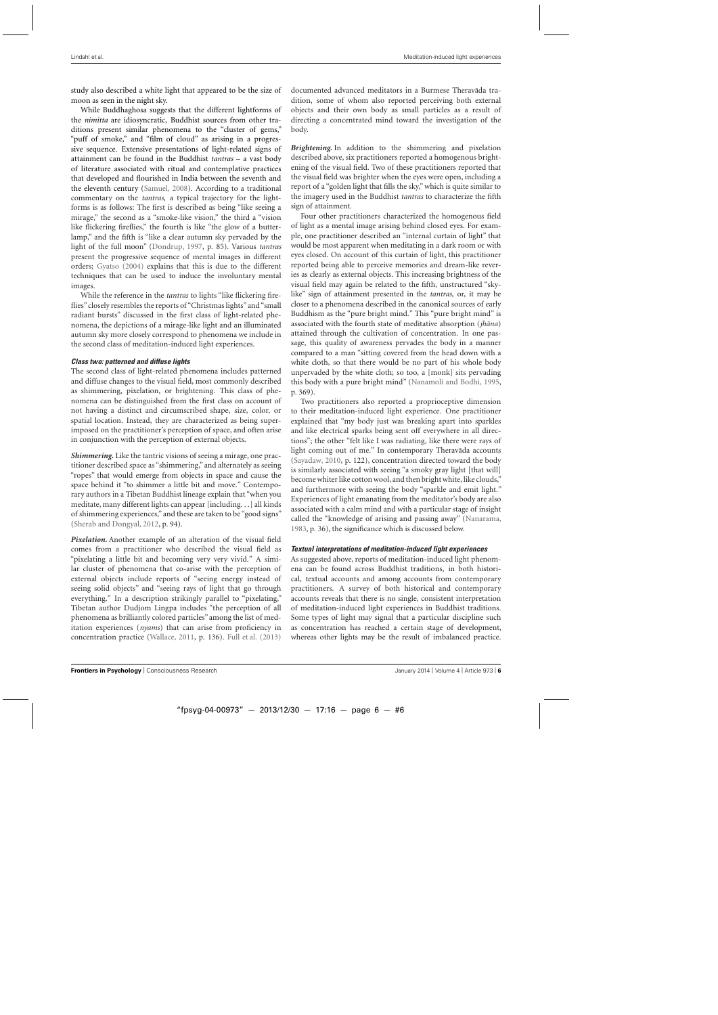study also described a white light that appeared to be the size of moon as seen in the night sky.

While Buddhaghosa suggests that the different lightforms of the *nimitta* are idiosyncratic, Buddhist sources from other traditions present similar phenomena to the "cluster of gems," "puff of smoke," and "film of cloud" as arising in a progressive sequence*.* Extensive presentations of light-related signs of attainment can be found in the Buddhist *tantras* – a vast body of literature associated with ritual and contemplative practices that developed and flourished in India between the seventh and the eleventh century [\(Samuel](#page-14-0), [2008](#page-14-0)). According to a traditional commentary on the *tantras*, a typical trajectory for the lightforms is as follows: The first is described as being "like seeing a mirage," the second as a "smoke-like vision," the third a "vision like flickering fireflies," the fourth is like "the glow of a butterlamp," and the fifth is "like a clear autumn sky pervaded by the light of the full moon" [\(Dondrup](#page-12-0), [1997,](#page-12-0) p. 85). Various *tantras* present the progressive sequence of mental images in different orders; [Gyatso](#page-13-0) [\(2004](#page-13-0)) explains that this is due to the different techniques that can be used to induce the involuntary mental images.

While the reference in the *tantras* to lights "like flickering fireflies" closely resembles the reports of "Christmas lights" and "small radiant bursts" discussed in the first class of light-related phenomena, the depictions of a mirage-like light and an illuminated autumn sky more closely correspond to phenomena we include in the second class of meditation-induced light experiences.

## *Class two: patterned and diffuse lights*

The second class of light-related phenomena includes patterned and diffuse changes to the visual field, most commonly described as shimmering, pixelation, or brightening. This class of phenomena can be distinguished from the first class on account of not having a distinct and circumscribed shape, size, color, or spatial location. Instead, they are characterized as being superimposed on the practitioner's perception of space, and often arise in conjunction with the perception of external objects.

*Shimmering.* Like the tantric visions of seeing a mirage, one practitioner described space as "shimmering," and alternately as seeing "ropes" that would emerge from objects in space and cause the space behind it "to shimmer a little bit and move." Contemporary authors in a Tibetan Buddhist lineage explain that "when you meditate, many different lights can appear [including...] all kinds of shimmering experiences," and these are taken to be "good signs" [\(Sherab and Dongyal, 2012](#page-14-0), p. 94).

*Pixelation.* Another example of an alteration of the visual field comes from a practitioner who described the visual field as "pixelating a little bit and becoming very very vivid." A similar cluster of phenomena that co-arise with the perception of external objects include reports of "seeing energy instead of seeing solid objects" and "seeing rays of light that go through everything." In a description strikingly parallel to "pixelating," Tibetan author Dudjom Lingpa includes "the perception of all phenomena as brilliantly colored particles" among the list of meditation experiences (*nyams*) that can arise from proficiency in concentration practice [\(Wallace, 2011](#page-14-0), p. 136). [Full et al.](#page-13-0) [\(2013\)](#page-13-0)

documented advanced meditators in a Burmese Theravāda tradition, some of whom also reported perceiving both external objects and their own body as small particles as a result of directing a concentrated mind toward the investigation of the body.

*Brightening.* In addition to the shimmering and pixelation described above, six practitioners reported a homogenous brightening of the visual field. Two of these practitioners reported that the visual field was brighter when the eyes were open, including a report of a "golden light that fills the sky," which is quite similar to the imagery used in the Buddhist *tantras* to characterize the fifth sign of attainment.

Four other practitioners characterized the homogenous field of light as a mental image arising behind closed eyes. For example, one practitioner described an "internal curtain of light" that would be most apparent when meditating in a dark room or with eyes closed. On account of this curtain of light, this practitioner reported being able to perceive memories and dream-like reveries as clearly as external objects. This increasing brightness of the visual field may again be related to the fifth, unstructured "skylike" sign of attainment presented in the *tantras*, or, it may be closer to a phenomena described in the canonical sources of early Buddhism as the "pure bright mind." This "pure bright mind" is associated with the fourth state of meditative absorption (*jhāna*) attained through the cultivation of concentration. In one passage, this quality of awareness pervades the body in a manner compared to a man "sitting covered from the head down with a white cloth, so that there would be no part of his whole body unpervaded by the white cloth; so too, a [monk] sits pervading this body with a pure bright mind" [\(Nanamoli and Bodhi](#page-14-0), [1995](#page-14-0), p. 369).

Two practitioners also reported a proprioceptive dimension to their meditation-induced light experience. One practitioner explained that "my body just was breaking apart into sparkles and like electrical sparks being sent off everywhere in all directions"; the other "felt like I was radiating, like there were rays of light coming out of me." In contemporary Theravada accounts [\(Sayadaw](#page-14-0), [2010,](#page-14-0) p. 122), concentration directed toward the body is similarly associated with seeing "a smoky gray light [that will] become whiter like cotton wool, and then bright white, like clouds," and furthermore with seeing the body "sparkle and emit light." Experiences of light emanating from the meditator's body are also associated with a calm mind and with a particular stage of insight called the "knowledge of arising and passing away" [\(Nanarama](#page-14-0), [1983,](#page-14-0) p. 36), the significance which is discussed below.

# *Textual interpretations of meditation-induced light experiences*

As suggested above, reports of meditation-induced light phenomena can be found across Buddhist traditions, in both historical, textual accounts and among accounts from contemporary practitioners. A survey of both historical and contemporary accounts reveals that there is no single, consistent interpretation of meditation-induced light experiences in Buddhist traditions. Some types of light may signal that a particular discipline such as concentration has reached a certain stage of development, whereas other lights may be the result of imbalanced practice.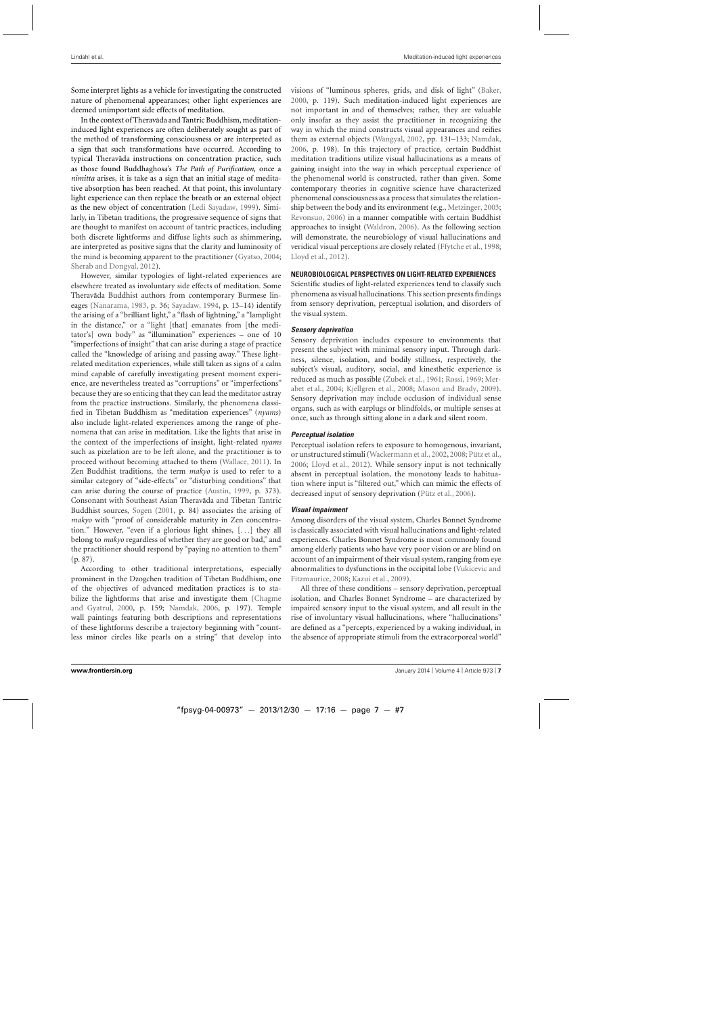Some interpret lights as a vehicle for investigating the constructed nature of phenomenal appearances; other light experiences are deemed unimportant side effects of meditation.

In the context of Theravāda and Tantric Buddhism, meditationinduced light experiences are often deliberately sought as part of the method of transforming consciousness or are interpreted as a sign that such transformations have occurred. According to typical Theravāda instructions on concentration practice, such as those found Buddhaghosa's *The Path of Purification*, once a *nimitta* arises, it is take as a sign that an initial stage of meditative absorption has been reached. At that point, this involuntary light experience can then replace the breath or an external object as the new object of concentration [\(Ledi Sayadaw, 1999](#page-13-0)). Similarly, in Tibetan traditions, the progressive sequence of signs that are thought to manifest on account of tantric practices, including both discrete lightforms and diffuse lights such as shimmering, are interpreted as positive signs that the clarity and luminosity of the mind is becoming apparent to the practitioner [\(Gyatso, 2004;](#page-13-0) [Sherab and Dongyal](#page-14-0), [2012\)](#page-14-0).

However, similar typologies of light-related experiences are elsewhere treated as involuntary side effects of meditation. Some Theravāda Buddhist authors from contemporary Burmese lineages [\(Nanarama](#page-14-0), [1983](#page-14-0), p. 36; [Sayadaw, 1994,](#page-14-0) p. 13–14) identify the arising of a "brilliant light," a "flash of lightning," a "lamplight in the distance," or a "light [that] emanates from [the meditator's] own body" as "illumination" experiences – one of 10 "imperfections of insight" that can arise during a stage of practice called the "knowledge of arising and passing away." These lightrelated meditation experiences, while still taken as signs of a calm mind capable of carefully investigating present moment experience, are nevertheless treated as "corruptions" or "imperfections" because they are so enticing that they can lead the meditator astray from the practice instructions. Similarly, the phenomena classified in Tibetan Buddhism as "meditation experiences" (*nyams*) also include light-related experiences among the range of phenomena that can arise in meditation. Like the lights that arise in the context of the imperfections of insight, light-related *nyams* such as pixelation are to be left alone, and the practitioner is to proceed without becoming attached to them [\(Wallace, 2011\)](#page-14-0). In Zen Buddhist traditions, the term *makyo* is used to refer to a similar category of "side-effects" or "disturbing conditions" that can arise during the course of practice [\(Austin, 1999,](#page-12-0) p. 373). Consonant with Southeast Asian Theravāda and Tibetan Tantric Buddhist sources, [Sogen](#page-14-0) [\(2001,](#page-14-0) p. 84) associates the arising of *makyo* with "proof of considerable maturity in Zen concentration." However, "even if a glorious light shines, [...] they all belong to *makyo* regardless of whether they are good or bad," and the practitioner should respond by "paying no attention to them" (p. 87).

According to other traditional interpretations, especially prominent in the Dzogchen tradition of Tibetan Buddhism, one of the objectives of advanced meditation practices is to stabilize the li[ghtforms that arise and investigate them \(](#page-12-0)Chagme and Gyatrul, [2000](#page-12-0), p. 159; [Namdak](#page-14-0), [2006](#page-14-0), p. 197). Temple wall paintings featuring both descriptions and representations of these lightforms describe a trajectory beginning with "countless minor circles like pearls on a string" that develop into

visions of "luminous spheres, grids, and disk of light" [\(Baker](#page-12-0), [2000,](#page-12-0) p. 119). Such meditation-induced light experiences are not important in and of themselves; rather, they are valuable only insofar as they assist the practitioner in recognizing the way in which the mind constructs visual appearances and reifies them as external objects [\(Wangyal, 2002,](#page-14-0) pp. 131–133; [Namdak](#page-14-0), [2006,](#page-14-0) p. 198). In this trajectory of practice, certain Buddhist meditation traditions utilize visual hallucinations as a means of gaining insight into the way in which perceptual experience of the phenomenal world is constructed, rather than given. Some contemporary theories in cognitive science have characterized phenomenal consciousness as a process that simulates the relationship between the body and its environment (e.g., [Metzinger, 2003;](#page-14-0) [Revonsuo, 2006\)](#page-14-0) in a manner compatible with certain Buddhist approaches to insight [\(Waldron](#page-14-0), [2006](#page-14-0)). As the following section will demonstrate, the neurobiology of visual hallucinations and veridical visual perceptions are closely related [\(Ffytche et al., 1998;](#page-13-0) [Lloyd et al.](#page-13-0), [2012\)](#page-13-0).

## **NEUROBIOLOGICAL PERSPECTIVES ON LIGHT-RELATED EXPERIENCES**

Scientific studies of light-related experiences tend to classify such phenomena as visual hallucinations. This section presents findings from sensory deprivation, perceptual isolation, and disorders of the visual system.

## *Sensory deprivation*

Sensory deprivation includes exposure to environments that present the subject with minimal sensory input. Through darkness, silence, isolation, and bodily stillness, respectively, the subject's visual, auditory, social, and kinesthetic experience is reduced [as much as possible \(Zubek et al., 1961;](#page-14-0) [Rossi, 1969](#page-14-0); Merabet et al., [2004](#page-14-0); [Kjellgren et al., 2008;](#page-13-0) [Mason and Brady](#page-13-0), [2009](#page-13-0)). Sensory deprivation may include occlusion of individual sense organs, such as with earplugs or blindfolds, or multiple senses at once, such as through sitting alone in a dark and silent room.

# *Perceptual isolation*

Perceptual isolation refers to exposure to homogenous, invariant, or unstructured stimuli [\(Wackermann et al., 2002,](#page-14-0) [2008](#page-14-0); [Pütz et al.](#page-14-0), [2006;](#page-14-0) [Lloyd et al., 2012\)](#page-13-0). While sensory input is not technically absent in perceptual isolation, the monotony leads to habituation where input is "filtered out," which can mimic the effects of decreased input of sensory deprivation [\(Pütz et al.](#page-14-0), [2006\)](#page-14-0).

## *Visual impairment*

Among disorders of the visual system, Charles Bonnet Syndrome is classically associated with visual hallucinations and light-related experiences. Charles Bonnet Syndrome is most commonly found among elderly patients who have very poor vision or are blind on account of an impairment of their visual system, ranging from eye abnormaliti[es to dysfunctions in the occipital lobe \(](#page-14-0)Vukicevic and Fitzmaurice, [2008](#page-14-0); [Kazui et al.](#page-13-0), [2009\)](#page-13-0).

All three of these conditions – sensory deprivation, perceptual isolation, and Charles Bonnet Syndrome – are characterized by impaired sensory input to the visual system, and all result in the rise of involuntary visual hallucinations, where "hallucinations" are defined as a "percepts, experienced by a waking individual, in the absence of appropriate stimuli from the extracorporeal world"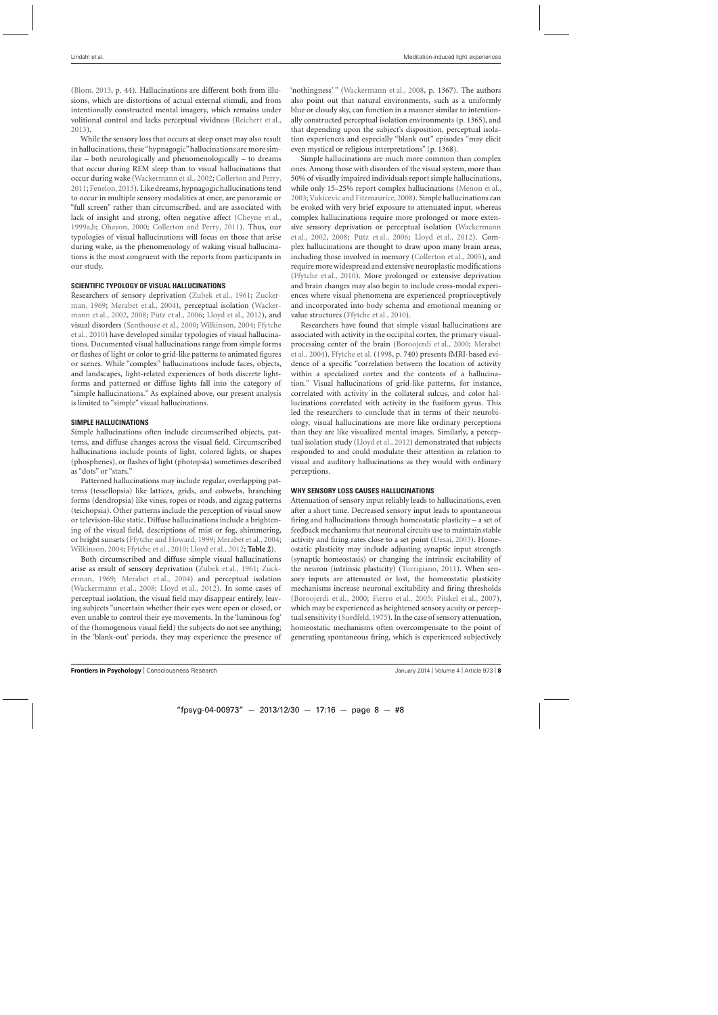[\(Blom, 2013,](#page-12-0) p. 44). Hallucinations are different both from illusions, which are distortions of actual external stimuli, and from intentionally constructed mental imagery, which remains under volitional control and lacks perceptual vividness [\(Reichert et al.](#page-14-0), [2013\)](#page-14-0).

While the sensory loss that occurs at sleep onset may also result in hallucinations, these"hypnagogic"hallucinations are more similar – both neurologically and phenomenologically – to dreams that occur during REM sleep than to visual hallucinations that occur during wake [\(Wackermann et al., 2002;](#page-14-0) [Collerton and Perry](#page-12-0), [2011;](#page-12-0) [Fenelon,2013](#page-12-0)). Like dreams, hypnagogic hallucinations tend to occur in multiple sensory modalities at once, are panoramic or "full screen" rather than circumscribed, and are associated with lack of insight and strong, often negative affect [\(Cheyne et al.](#page-12-0), [1999a,b;](#page-12-0) [Ohayon](#page-14-0), [2000](#page-14-0); [Collerton and Perry, 2011](#page-12-0)). Thus, our typologies of visual hallucinations will focus on those that arise during wake, as the phenomenology of waking visual hallucinations is the most congruent with the reports from participants in our study.

## **SCIENTIFIC TYPOLOGY OF VISUAL HALLUCINATIONS**

Rese[archers of sensory deprivation \(Zubek et al., 1961;](#page-14-0) Zuckerman, [1969](#page-14-0); [Merabet et al., 2004\),](#page-14-0) [perceptual](#page-14-0) [isolation](#page-14-0) [\(](#page-14-0)Wackermann et al., [2002,](#page-14-0) [2008;](#page-14-0) [Pütz et al., 2006;](#page-14-0) [Lloyd et al.](#page-13-0), [2012](#page-13-0)), and visu[al](#page-13-0) [disorders](#page-13-0) [\(Santhouse et al.](#page-14-0)[,](#page-13-0) [2000;](#page-14-0) [Wilkinson, 2004](#page-14-0); Ffytche et al., [2010](#page-13-0)) have developed similar typologies of visual hallucinations. Documented visual hallucinations range from simple forms or flashes of light or color to grid-like patterns to animated figures or scenes. While "complex" hallucinations include faces, objects, and landscapes, light-related experiences of both discrete lightforms and patterned or diffuse lights fall into the category of "simple hallucinations." As explained above, our present analysis is limited to "simple" visual hallucinations.

## **SIMPLE HALLUCINATIONS**

Simple hallucinations often include circumscribed objects, patterns, and diffuse changes across the visual field. Circumscribed hallucinations include points of light, colored lights, or shapes (phosphenes), or flashes of light (photopsia) sometimes described as "dots" or "stars."

Patterned hallucinations may include regular, overlapping patterns (tessellopsia) like lattices, grids, and cobwebs, branching forms (dendropsia) like vines, ropes or roads, and zigzag patterns (teichopsia). Other patterns include the perception of visual snow or television-like static. Diffuse hallucinations include a brightening of the visual field, descriptions of mist or fog, shimmering, or bright sunsets [\(Ffytche and Howard, 1999;](#page-13-0) [Merabet et al., 2004;](#page-14-0) [Wilkinson, 2004;](#page-14-0) [Ffytche et al., 2010;](#page-13-0) [Lloyd et al., 2012](#page-13-0); **[Table 2](#page-8-0)**).

Both circumscribed and diffuse simple visual hallucinations arise [as result of sensory deprivation \(Zubek et al., 1961;](#page-14-0) Zuckerman, [1969;](#page-14-0) [Merabet et al., 2004](#page-14-0)) and perceptual isolation [\(Wackermann et al.](#page-14-0), [2008;](#page-14-0) [Lloyd et al., 2012](#page-13-0)). In some cases of perceptual isolation, the visual field may disappear entirely, leaving subjects "uncertain whether their eyes were open or closed, or even unable to control their eye movements. In the 'luminous fog' of the (homogenous visual field) the subjects do not see anything; in the 'blank-out' periods, they may experience the presence of 'nothingness'" [\(Wackermann et al.](#page-14-0), [2008](#page-14-0), p. 1367). The authors also point out that natural environments, such as a uniformly blue or cloudy sky, can function in a manner similar to intentionally constructed perceptual isolation environments (p. 1365), and that depending upon the subject's disposition, perceptual isolation experiences and especially "blank out" episodes "may elicit even mystical or religious interpretations" (p. 1368).

Simple hallucinations are much more common than complex ones. Among those with disorders of the visual system, more than 50% of visually impaired individuals report simple hallucinations, while only 15–25% report complex hallucinations [\(Menon et al.](#page-13-0), [2003;](#page-13-0)[Vukicevic and Fitzmaurice, 2008](#page-14-0)). Simple hallucinations can be evoked with very brief exposure to attenuated input, whereas complex hallucinations require more prolonged or more extensive [sensory deprivation or perceptual isolation \(](#page-14-0)Wackermann et al., [2002](#page-14-0), [2008;](#page-14-0) [Pütz et al., 2006](#page-14-0); [Lloyd et al., 2012\)](#page-13-0). Complex hallucinations are thought to draw upon many brain areas, including those involved in memory [\(Collerton et al., 2005](#page-12-0)), and require more widespread and extensive neuroplastic modifications [\(Ffytche et al., 2010\)](#page-13-0). More prolonged or extensive deprivation and brain changes may also begin to include cross-modal experiences where visual phenomena are experienced proprioceptively and incorporated into body schema and emotional meaning or value structures [\(Ffytche et al.](#page-13-0), [2010\)](#page-13-0).

Researchers have found that simple visual hallucinations are associated with activity in the occipital cortex, the primary visualproc[essing center of the brain](#page-14-0) [\(Boroojerdi et al., 2000](#page-12-0)[;](#page-14-0) Merabet et al., [2004](#page-14-0)). [Ffytche et al.](#page-13-0) [\(1998](#page-13-0), p. 740) presents fMRI-based evidence of a specific "correlation between the location of activity within a specialized cortex and the contents of a hallucination." Visual hallucinations of grid-like patterns, for instance, correlated with activity in the collateral sulcus, and color hallucinations correlated with activity in the fusiform gyrus. This led the researchers to conclude that in terms of their neurobiology, visual hallucinations are more like ordinary perceptions than they are like visualized mental images. Similarly, a perceptual isolation study [\(Lloyd et al.](#page-13-0), [2012](#page-13-0)) demonstrated that subjects responded to and could modulate their attention in relation to visual and auditory hallucinations as they would with ordinary perceptions.

## **WHY SENSORY LOSS CAUSES HALLUCINATIONS**

Attenuation of sensory input reliably leads to hallucinations, even after a short time. Decreased sensory input leads to spontaneous firing and hallucinations through homeostatic plasticity – a set of feedback mechanisms that neuronal circuits use to maintain stable activity and firing rates close to a set point [\(Desai, 2003\)](#page-12-0). Homeostatic plasticity may include adjusting synaptic input strength (synaptic homeostasis) or changing the intrinsic excitability of the neuron (intrinsic plasticity) [\(Turrigiano](#page-14-0), [2011\)](#page-14-0). When sensory inputs are attenuated or lost, the homeostatic plasticity mechanisms increase neuronal excitability and firing thresholds [\(Boroojerdi et al., 2000;](#page-12-0) [Fierro et al., 2005;](#page-13-0) [Pitskel et al., 2007\)](#page-14-0), which may be experienced as heightened sensory acuity or perceptual sensitivity [\(Suedfeld](#page-14-0), [1975\)](#page-14-0). In the case of sensory attenuation, homeostatic mechanisms often overcompensate to the point of generating spontaneous firing, which is experienced subjectively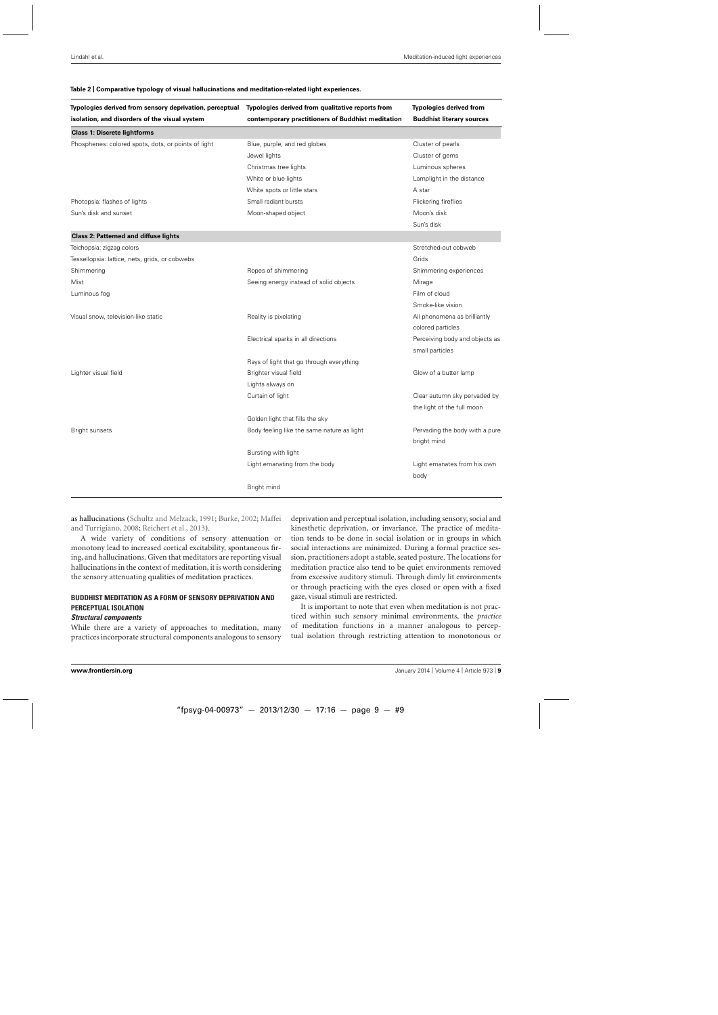| Typologies derived from sensory deprivation, perceptual<br>isolation, and disorders of the visual system | Typologies derived from qualitative reports from<br>contemporary practitioners of Buddhist meditation | <b>Typologies derived from</b><br><b>Buddhist literary sources</b> |
|----------------------------------------------------------------------------------------------------------|-------------------------------------------------------------------------------------------------------|--------------------------------------------------------------------|
| <b>Class 1: Discrete lightforms</b>                                                                      |                                                                                                       |                                                                    |
| Phosphenes: colored spots, dots, or points of light                                                      | Blue, purple, and red globes                                                                          | Cluster of pearls                                                  |
|                                                                                                          | Jewel lights                                                                                          | Cluster of gems                                                    |
|                                                                                                          | Christmas tree lights                                                                                 | Luminous spheres                                                   |
|                                                                                                          | White or blue lights                                                                                  | Lamplight in the distance                                          |
|                                                                                                          | White spots or little stars                                                                           | A star                                                             |
| Photopsia: flashes of lights                                                                             | Small radiant bursts                                                                                  | Flickering fireflies                                               |
| Sun's disk and sunset                                                                                    | Moon-shaped object                                                                                    | Moon's disk                                                        |
|                                                                                                          |                                                                                                       | Sun's disk                                                         |
| <b>Class 2: Patterned and diffuse lights</b>                                                             |                                                                                                       |                                                                    |
|                                                                                                          |                                                                                                       | Stretched-out cobweb                                               |
| Teichopsia: zigzag colors                                                                                |                                                                                                       | Grids                                                              |
| Tessellopsia: lattice, nets, grids, or cobwebs                                                           |                                                                                                       |                                                                    |
| Shimmering                                                                                               | Ropes of shimmering                                                                                   | Shimmering experiences                                             |
| Mist                                                                                                     | Seeing energy instead of solid objects                                                                | Mirage                                                             |
| Luminous fog                                                                                             |                                                                                                       | Film of cloud                                                      |
|                                                                                                          |                                                                                                       | Smoke-like vision                                                  |
| Visual snow, television-like static                                                                      | Reality is pixelating                                                                                 | All phenomena as brilliantly                                       |
|                                                                                                          |                                                                                                       | colored particles                                                  |
|                                                                                                          | Electrical sparks in all directions                                                                   | Perceiving body and objects as<br>small particles                  |
|                                                                                                          | Rays of light that go through everything                                                              |                                                                    |
| Lighter visual field                                                                                     | Brighter visual field                                                                                 | Glow of a butter lamp                                              |
|                                                                                                          | Lights always on                                                                                      |                                                                    |
|                                                                                                          | Curtain of light                                                                                      | Clear autumn sky pervaded by                                       |
|                                                                                                          |                                                                                                       | the light of the full moon                                         |
|                                                                                                          | Golden light that fills the sky                                                                       |                                                                    |
| <b>Bright sunsets</b>                                                                                    | Body feeling like the same nature as light                                                            | Pervading the body with a pure<br>bright mind                      |
|                                                                                                          | Bursting with light                                                                                   |                                                                    |
|                                                                                                          | Light emanating from the body                                                                         | Light emanates from his own<br>body                                |
|                                                                                                          | Bright mind                                                                                           |                                                                    |

<span id="page-8-0"></span>**Table 2 | Comparative typology of visual hallucinations and meditation-related light experiences.**

as hallucinatio[ns](#page-13-0) [\(Schultz and Melzack](#page-14-0)[,](#page-13-0) [1991](#page-14-0)[;](#page-13-0) [Burke](#page-12-0), [2002](#page-12-0); Maffei and Turrigiano, [2008](#page-13-0); [Reichert et al.](#page-14-0), [2013\)](#page-14-0).

A wide variety of conditions of sensory attenuation or monotony lead to increased cortical excitability, spontaneous firing, and hallucinations. Given that meditators are reporting visual hallucinations in the context of meditation, it is worth considering the sensory attenuating qualities of meditation practices.

# **BUDDHIST MEDITATION AS A FORM OF SENSORY DEPRIVATION AND PERCEPTUAL ISOLATION**

## *Structural components*

While there are a variety of approaches to meditation, many practices incorporate structural components analogous to sensory deprivation and perceptual isolation, including sensory, social and kinesthetic deprivation, or invariance. The practice of meditation tends to be done in social isolation or in groups in which social interactions are minimized. During a formal practice session, practitioners adopt a stable, seated posture. The locations for meditation practice also tend to be quiet environments removed from excessive auditory stimuli. Through dimly lit environments or through practicing with the eyes closed or open with a fixed gaze, visual stimuli are restricted.

It is important to note that even when meditation is not practiced within such sensory minimal environments, the *practice* of meditation functions in a manner analogous to perceptual isolation through restricting attention to monotonous or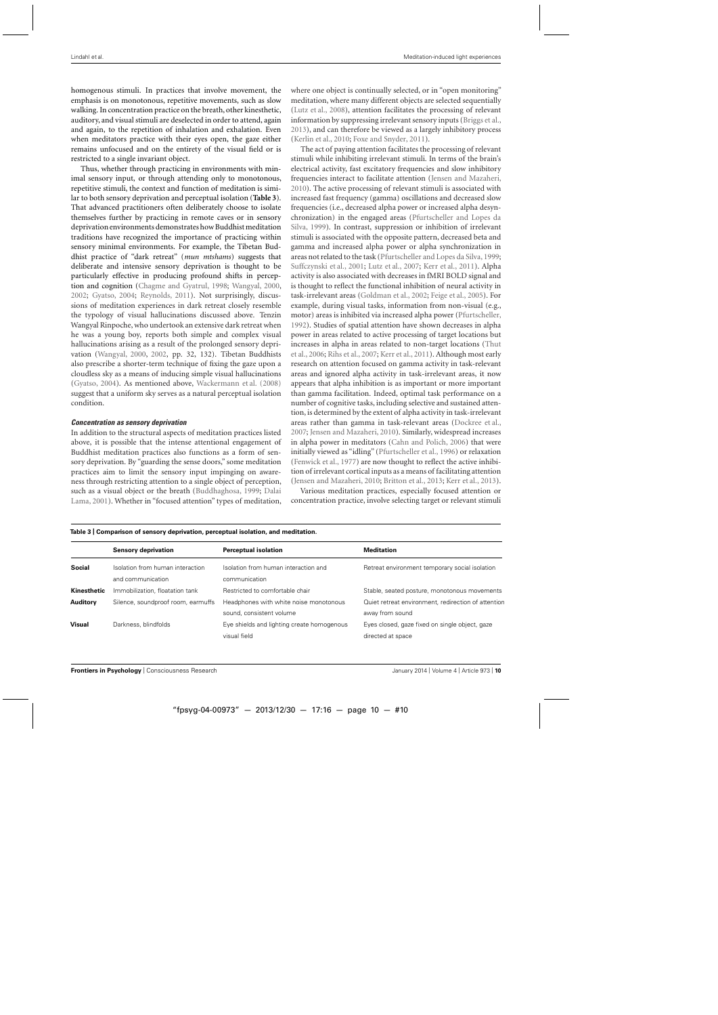homogenous stimuli. In practices that involve movement, the emphasis is on monotonous, repetitive movements, such as slow walking. In concentration practice on the breath, other kinesthetic, auditory, and visual stimuli are deselected in order to attend, again and again, to the repetition of inhalation and exhalation. Even when meditators practice with their eyes open, the gaze either remains unfocused and on the entirety of the visual field or is restricted to a single invariant object.

Thus, whether through practicing in environments with minimal sensory input, or through attending only to monotonous, repetitive stimuli, the context and function of meditation is similar to both sensory deprivation and perceptual isolation (**Table 3**). That advanced practitioners often deliberately choose to isolate themselves further by practicing in remote caves or in sensory deprivation environments demonstrates how Buddhist meditation traditions have recognized the importance of practicing within sensory minimal environments. For example, the Tibetan Buddhist practice of "dark retreat" (*mun mtshams*) suggests that deliberate and intensive sensory deprivation is thought to be particularly effective in producing profound shifts in perception and cognition [\(Chagme and Gyatrul](#page-12-0), [1998;](#page-12-0) [Wangyal, 2000](#page-14-0), [2002;](#page-14-0) [Gyatso](#page-13-0), [2004](#page-13-0); [Reynolds, 2011\)](#page-14-0). Not surprisingly, discussions of meditation experiences in dark retreat closely resemble the typology of visual hallucinations discussed above. Tenzin Wangyal Rinpoche, who undertook an extensive dark retreat when he was a young boy, reports both simple and complex visual hallucinations arising as a result of the prolonged sensory deprivation [\(Wangyal](#page-14-0), [2000](#page-14-0), [2002](#page-14-0), pp. 32, 132). Tibetan Buddhists also prescribe a shorter-term technique of fixing the gaze upon a cloudless sky as a means of inducing simple visual hallucinations [\(Gyatso, 2004](#page-13-0)). As mentioned above, [Wackermann et al.](#page-14-0) [\(2008\)](#page-14-0) suggest that a uniform sky serves as a natural perceptual isolation condition.

#### *Concentration as sensory deprivation*

In addition to the structural aspects of meditation practices listed above, it is possible that the intense attentional engagement of Buddhist meditation practices also functions as a form of sensory deprivation. By "guarding the sense doors," some meditation practices aim to limit the sensory input impinging on awareness through restricting attention to a single object of perception, such [as a visual object or the breath \(Buddhaghosa, 1999;](#page-12-0) Dalai Lama, [2001\)](#page-12-0). Whether in "focused attention" types of meditation, where one object is continually selected, or in "open monitoring" meditation, where many different objects are selected sequentially [\(Lutz et al., 2008\)](#page-13-0), attention facilitates the processing of relevant information by suppressing irrelevant sensory inputs [\(Briggs et al.](#page-12-0), [2013\)](#page-12-0), and can therefore be viewed as a largely inhibitory process [\(Kerlin et al., 2010](#page-13-0); [Foxe and Snyder, 2011\)](#page-13-0).

The act of paying attention facilitates the processing of relevant stimuli while inhibiting irrelevant stimuli. In terms of the brain's electrical activity, fast excitatory frequencies and slow inhibitory frequencies interact to facilitate attention [\(Jensen and Mazaheri](#page-13-0), [2010\)](#page-13-0). The active processing of relevant stimuli is associated with increased fast frequency (gamma) oscillations and decreased slow frequencies (i.e., decreased alpha power or increased alpha desynchro[nization\)](#page-14-0) [in](#page-14-0) [the](#page-14-0) [engaged](#page-14-0) [areas](#page-14-0) [\(](#page-14-0)Pfurtscheller and Lopes da Silva, [1999\)](#page-14-0). In contrast, suppression or inhibition of irrelevant stimuli is associated with the opposite pattern, decreased beta and gamma and increased alpha power or alpha synchronization in areas not related to the task [\(Pfurtscheller and Lopes da Silva](#page-14-0), [1999;](#page-14-0) [Suffczynski et al.](#page-14-0), [2001](#page-14-0); [Lutz et al.](#page-13-0), [2007](#page-13-0); [Kerr et al.](#page-13-0), [2011\)](#page-13-0). Alpha activity is also associated with decreases in fMRI BOLD signal and is thought to reflect the functional inhibition of neural activity in task-irrelevant areas [\(Goldman et al., 2002](#page-13-0); [Feige et al., 2005](#page-12-0)). For example, during visual tasks, information from non-visual (e.g., motor) areas is inhibited via increased alpha power [\(Pfurtscheller](#page-14-0), [1992\)](#page-14-0). Studies of spatial attention have shown decreases in alpha power in areas related to active processing of target locations but incr[eases in alpha in areas related to non-target locations \(](#page-14-0)Thut et al., [2006;](#page-14-0) [Rihs et al., 2007](#page-14-0); [Kerr et al.](#page-13-0), [2011](#page-13-0)). Although most early research on attention focused on gamma activity in task-relevant areas and ignored alpha activity in task-irrelevant areas, it now appears that alpha inhibition is as important or more important than gamma facilitation. Indeed, optimal task performance on a number of cognitive tasks, including selective and sustained attention, is determined by the extent of alpha activity in task-irrelevant areas rather than gamma in task-relevant areas [\(Dockree et al.](#page-12-0), [2007;](#page-12-0) [Jensen and Mazaheri](#page-13-0), [2010](#page-13-0)). Similarly, widespread increases in alpha power in meditators [\(Cahn and Polich](#page-12-0), [2006](#page-12-0)) that were initially viewed as "idling" [\(Pfurtscheller et al.](#page-14-0), [1996](#page-14-0)) or relaxation [\(Fenwick et al., 1977](#page-13-0)) are now thought to reflect the active inhibition of irrelevant cortical inputs as a means of facilitating attention [\(Jensen and Mazaheri, 2010;](#page-13-0) [Britton et al.](#page-12-0), [2013](#page-12-0); [Kerr et al.](#page-13-0), [2013](#page-13-0)).

Various meditation practices, especially focused attention or concentration practice, involve selecting target or relevant stimuli

#### **Table 3 | Comparison of sensory deprivation, perceptual isolation, and meditation.**

|                 | <b>Sensory deprivation</b>         | <b>Perceptual isolation</b>                | <b>Meditation</b>                                   |
|-----------------|------------------------------------|--------------------------------------------|-----------------------------------------------------|
| <b>Social</b>   | Isolation from human interaction   | Isolation from human interaction and       | Retreat environment temporary social isolation      |
|                 | and communication                  | communication                              |                                                     |
| Kinesthetic     | Immobilization, floatation tank    | Restricted to comfortable chair            | Stable, seated posture, monotonous movements        |
| <b>Auditory</b> | Silence, soundproof room, earmuffs | Headphones with white noise monotonous     | Quiet retreat environment, redirection of attention |
|                 |                                    | sound, consistent volume                   | away from sound                                     |
| <b>Visual</b>   | Darkness, blindfolds               | Eye shields and lighting create homogenous | Eyes closed, gaze fixed on single object, gaze      |
|                 |                                    | visual field                               | directed at space                                   |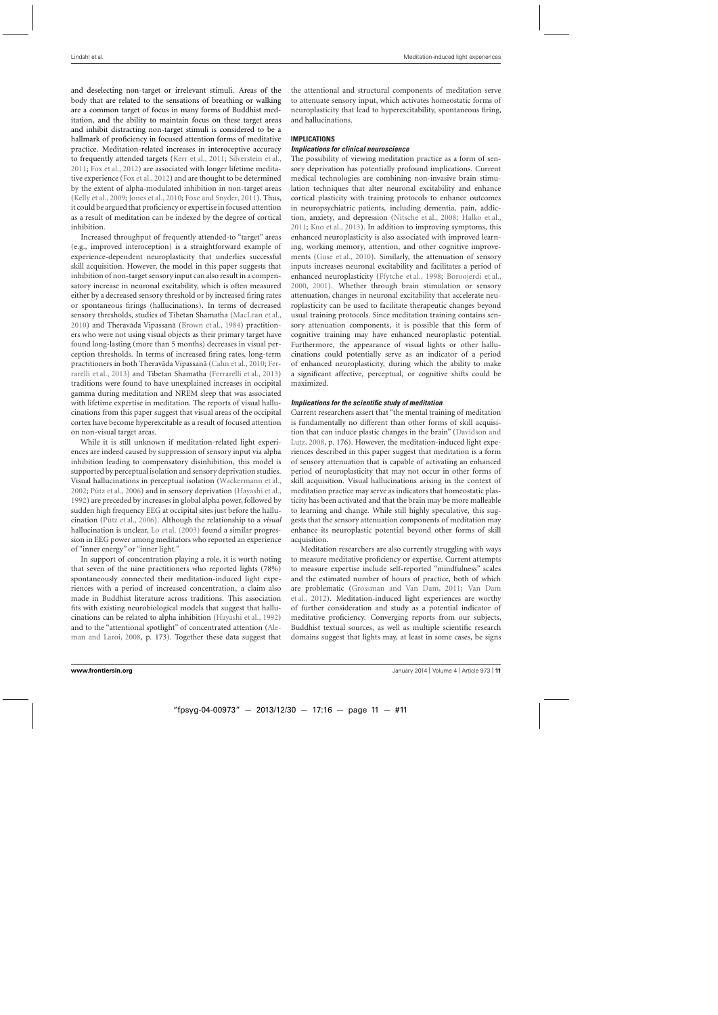and deselecting non-target or irrelevant stimuli. Areas of the body that are related to the sensations of breathing or walking are a common target of focus in many forms of Buddhist meditation, and the ability to maintain focus on these target areas and inhibit distracting non-target stimuli is considered to be a hallmark of proficiency in focused attention forms of meditative practice. Meditation-related increases in interoceptive accuracy to frequently attended targets [\(Kerr et al., 2011;](#page-13-0) [Silverstein et al.](#page-14-0), [2011;](#page-14-0) [Fox et al., 2012\)](#page-13-0) are associated with longer lifetime meditative experience [\(Fox et al.](#page-13-0), [2012](#page-13-0)) and are thought to be determined by the extent of alpha-modulated inhibition in non-target areas [\(Kelly et al.](#page-13-0), [2009](#page-13-0); [Jones et al.](#page-13-0), [2010](#page-13-0); [Foxe and Snyder](#page-13-0), [2011](#page-13-0)). Thus, it could be argued that proficiency or expertise in focused attention as a result of meditation can be indexed by the degree of cortical inhibition.

Increased throughput of frequently attended-to "target" areas (e.g., improved interoception) is a straightforward example of experience-dependent neuroplasticity that underlies successful skill acquisition. However, the model in this paper suggests that inhibition of non-target sensory input can also result in a compensatory increase in neuronal excitability, which is often measured either by a decreased sensory threshold or by increased firing rates or spontaneous firings (hallucinations). In terms of decreased sensory thresholds, studies of Tibetan Shamatha [\(MacLean et al.](#page-13-0), [2010\)](#page-13-0) and Theravāda Vipassanā [\(Brown et al.](#page-12-0), [1984](#page-12-0)) practitioners who were not using visual objects as their primary target have found long-lasting (more than 5 months) decreases in visual perception thresholds. In terms of increased firing rates, long-term practitioners in both Theravāda Vipassanā [\(Cahn et al.](#page-12-0)[,](#page-13-0) [2010;](#page-12-0) Ferrarelli et al., [2013](#page-13-0)) and Tibetan Shamatha [\(Ferrarelli et al., 2013\)](#page-13-0) traditions were found to have unexplained increases in occipital gamma during meditation and NREM sleep that was associated with lifetime expertise in meditation. The reports of visual hallucinations from this paper suggest that visual areas of the occipital cortex have become hyperexcitable as a result of focused attention on non-visual target areas.

While it is still unknown if meditation-related light experiences are indeed caused by suppression of sensory input via alpha inhibition leading to compensatory disinhibition, this model is supported by perceptual isolation and sensory deprivation studies. Visual hallucinations in perceptual isolation [\(Wackermann et al.](#page-14-0), [2002;](#page-14-0) [Pütz et al., 2006](#page-14-0)) and in sensory deprivation [\(Hayashi et al.](#page-13-0), [1992\)](#page-13-0) are preceded by increases in global alpha power, followed by sudden high frequency EEG at occipital sites just before the hallucination [\(Pütz et al.](#page-14-0), [2006](#page-14-0)). Although the relationship to a *visual* hallucination is unclear, [Lo et al.](#page-13-0) [\(2003](#page-13-0)) found a similar progression in EEG power among meditators who reported an experience of "inner energy" or "inner light."

In support of concentration playing a role, it is worth noting that seven of the nine practitioners who reported lights (78%) spontaneously connected their meditation-induced light experiences with a period of increased concentration, a claim also made in Buddhist literature across traditions. This association fits with existing neurobiological models that suggest that hallucinations can be related to alpha inhibition [\(Hayashi et al., 1992\)](#page-13-0) and to the "att[entional](#page-12-0) [spotlight"](#page-12-0) [of](#page-12-0) [concentrated](#page-12-0) [attention](#page-12-0) [\(](#page-12-0)Aleman and Laroi, [2008](#page-12-0), p. 173). Together these data suggest that

the attentional and structural components of meditation serve to attenuate sensory input, which activates homeostatic forms of neuroplasticity that lead to hyperexcitability, spontaneous firing, and hallucinations.

## **IMPLICATIONS**

## *Implications for clinical neuroscience*

The possibility of viewing meditation practice as a form of sensory deprivation has potentially profound implications. Current medical technologies are combining non-invasive brain stimulation techniques that alter neuronal excitability and enhance cortical plasticity with training protocols to enhance outcomes in neuropsychiatric patients, including dementia, pain, addiction, anxiety, and depression [\(Nitsche et al., 2008;](#page-14-0) [Halko et al.](#page-13-0), [2011;](#page-13-0) [Kuo et al.](#page-13-0), [2013](#page-13-0)). In addition to improving symptoms, this enhanced neuroplasticity is also associated with improved learning, working memory, attention, and other cognitive improvements [\(Guse et al., 2010](#page-13-0)). Similarly, the attenuation of sensory inputs increases neuronal excitability and facilitates a period of enhanced neuroplasticity [\(Ffytche et al., 1998;](#page-13-0) [Boroojerdi et al.](#page-12-0), [2000,](#page-12-0) [2001](#page-12-0)). Whether through brain stimulation or sensory attenuation, changes in neuronal excitability that accelerate neuroplasticity can be used to facilitate therapeutic changes beyond usual training protocols. Since meditation training contains sensory attenuation components, it is possible that this form of cognitive training may have enhanced neuroplastic potential. Furthermore, the appearance of visual lights or other hallucinations could potentially serve as an indicator of a period of enhanced neuroplasticity, during which the ability to make a significant affective, perceptual, or cognitive shifts could be maximized.

## *Implications for the scientific study of meditation*

Current researchers assert that "the mental training of meditation is fundamentally no different than other forms of skill acquisition [that](#page-12-0) [can](#page-12-0) [induce](#page-12-0) [plastic](#page-12-0) [changes](#page-12-0) [in](#page-12-0) [the](#page-12-0) [brain"](#page-12-0) [\(](#page-12-0)Davidson and Lutz, [2008,](#page-12-0) p. 176). However, the meditation-induced light experiences described in this paper suggest that meditation is a form of sensory attenuation that is capable of activating an enhanced period of neuroplasticity that may not occur in other forms of skill acquisition. Visual hallucinations arising in the context of meditation practice may serve as indicators that homeostatic plasticity has been activated and that the brain may be more malleable to learning and change. While still highly speculative, this suggests that the sensory attenuation components of meditation may enhance its neuroplastic potential beyond other forms of skill acquisition.

Meditation researchers are also currently struggling with ways to measure meditative proficiency or expertise. Current attempts to measure expertise include self-reported "mindfulness" scales and the estimated number of hours of practice, both of which are [problematic](#page-14-0) [\(Grossman and Van Dam](#page-13-0)[,](#page-14-0) [2011;](#page-13-0) Van Dam et al., [2012](#page-14-0)). Meditation-induced light experiences are worthy of further consideration and study as a potential indicator of meditative proficiency. Converging reports from our subjects, Buddhist textual sources, as well as multiple scientific research domains suggest that lights may, at least in some cases, be signs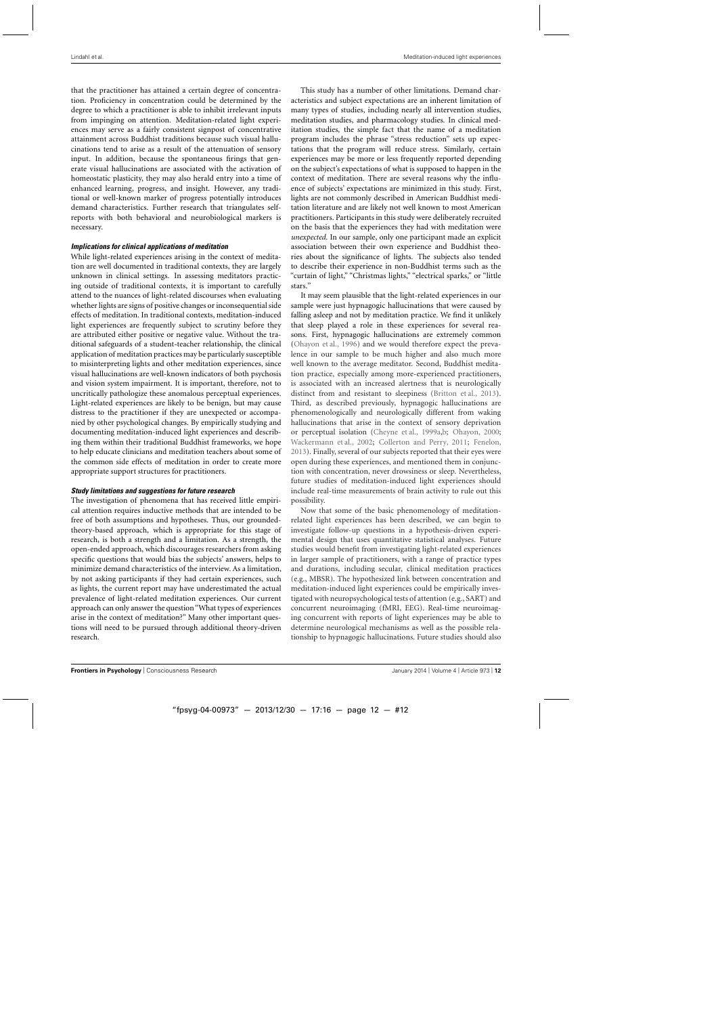that the practitioner has attained a certain degree of concentration. Proficiency in concentration could be determined by the degree to which a practitioner is able to inhibit irrelevant inputs from impinging on attention. Meditation-related light experiences may serve as a fairly consistent signpost of concentrative attainment across Buddhist traditions because such visual hallucinations tend to arise as a result of the attenuation of sensory input. In addition, because the spontaneous firings that generate visual hallucinations are associated with the activation of homeostatic plasticity, they may also herald entry into a time of enhanced learning, progress, and insight. However, any traditional or well-known marker of progress potentially introduces demand characteristics. Further research that triangulates selfreports with both behavioral and neurobiological markers is necessary.

## *Implications for clinical applications of meditation*

While light-related experiences arising in the context of meditation are well documented in traditional contexts, they are largely unknown in clinical settings. In assessing meditators practicing outside of traditional contexts, it is important to carefully attend to the nuances of light-related discourses when evaluating whether lights are signs of positive changes or inconsequential side effects of meditation. In traditional contexts, meditation-induced light experiences are frequently subject to scrutiny before they are attributed either positive or negative value. Without the traditional safeguards of a student-teacher relationship, the clinical application of meditation practices may be particularly susceptible to misinterpreting lights and other meditation experiences, since visual hallucinations are well-known indicators of both psychosis and vision system impairment. It is important, therefore, not to uncritically pathologize these anomalous perceptual experiences. Light-related experiences are likely to be benign, but may cause distress to the practitioner if they are unexpected or accompanied by other psychological changes. By empirically studying and documenting meditation-induced light experiences and describing them within their traditional Buddhist frameworks, we hope to help educate clinicians and meditation teachers about some of the common side effects of meditation in order to create more appropriate support structures for practitioners.

## *Study limitations and suggestions for future research*

The investigation of phenomena that has received little empirical attention requires inductive methods that are intended to be free of both assumptions and hypotheses. Thus, our groundedtheory-based approach, which is appropriate for this stage of research, is both a strength and a limitation. As a strength, the open-ended approach, which discourages researchers from asking specific questions that would bias the subjects' answers, helps to minimize demand characteristics of the interview. As a limitation, by not asking participants if they had certain experiences, such as lights, the current report may have underestimated the actual prevalence of light-related meditation experiences. Our current approach can only answer the question "What types of experiences arise in the context of meditation?" Many other important questions will need to be pursued through additional theory-driven research.

This study has a number of other limitations. Demand characteristics and subject expectations are an inherent limitation of many types of studies, including nearly all intervention studies, meditation studies, and pharmacology studies. In clinical meditation studies, the simple fact that the name of a meditation program includes the phrase "stress reduction" sets up expectations that the program will reduce stress. Similarly, certain experiences may be more or less frequently reported depending on the subject's expectations of what is supposed to happen in the context of meditation. There are several reasons why the influence of subjects' expectations are minimized in this study. First, lights are not commonly described in American Buddhist meditation literature and are likely not well known to most American practitioners. Participants in this study were deliberately recruited on the basis that the experiences they had with meditation were *unexpected.* In our sample, only one participant made an explicit association between their own experience and Buddhist theories about the significance of lights. The subjects also tended to describe their experience in non-Buddhist terms such as the "curtain of light," "Christmas lights," "electrical sparks," or "little stars."

It may seem plausible that the light-related experiences in our sample were just hypnagogic hallucinations that were caused by falling asleep and not by meditation practice. We find it unlikely that sleep played a role in these experiences for several reasons. First, hypnagogic hallucinations are extremely common [\(Ohayon et al., 1996](#page-14-0)) and we would therefore expect the prevalence in our sample to be much higher and also much more well known to the average meditator. Second, Buddhist meditation practice, especially among more-experienced practitioners, is associated with an increased alertness that is neurologically distinct from and resistant to sleepiness [\(Britton et al., 2013](#page-12-0)). Third, as described previously, hypnagogic hallucinations are phenomenologically and neurologically different from waking hallucinations that arise in the context of sensory deprivation or perceptual isolation [\(Cheyne et al., 1999a,b](#page-12-0); [Ohayon, 2000;](#page-14-0) [Wackermann et al.](#page-14-0), [2002](#page-14-0); [Collerton and Perry](#page-12-0), [2011;](#page-12-0) [Fenelon](#page-12-0), [2013\)](#page-12-0). Finally, several of our subjects reported that their eyes were open during these experiences, and mentioned them in conjunction with concentration, never drowsiness or sleep. Nevertheless, future studies of meditation-induced light experiences should include real-time measurements of brain activity to rule out this possibility.

Now that some of the basic phenomenology of meditationrelated light experiences has been described, we can begin to investigate follow-up questions in a hypothesis-driven experimental design that uses quantitative statistical analyses. Future studies would benefit from investigating light-related experiences in larger sample of practitioners, with a range of practice types and durations, including secular, clinical meditation practices (e.g., MBSR). The hypothesized link between concentration and meditation-induced light experiences could be empirically investigated with neuropsychological tests of attention (e.g., SART) and concurrent neuroimaging (fMRI, EEG). Real-time neuroimaging concurrent with reports of light experiences may be able to determine neurological mechanisms as well as the possible relationship to hypnagogic hallucinations. Future studies should also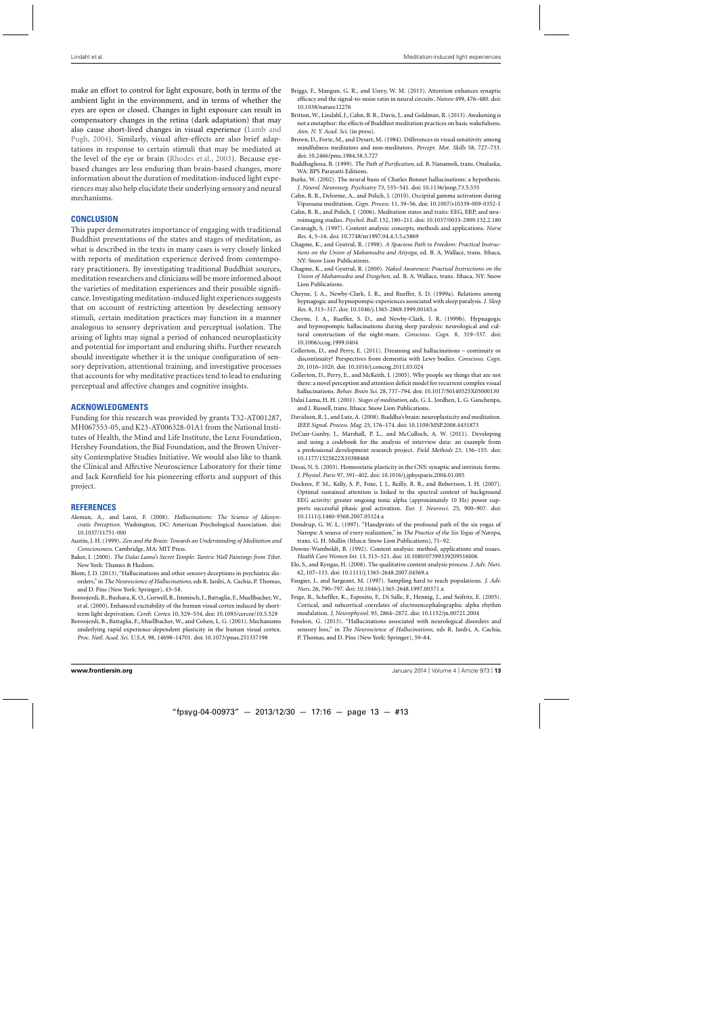<span id="page-12-0"></span>make an effort to control for light exposure, both in terms of the ambient light in the environment, and in terms of whether the eyes are open or closed. Changes in light exposure can result in compensatory changes in the retina (dark adaptation) that may also [cause short-lived changes in visual experience \(](#page-13-0)Lamb and Pugh, [2004](#page-13-0)). Similarly, visual after-effects are also brief adaptations in response to certain stimuli that may be mediated at the level of the eye or brain [\(Rhodes et al.](#page-14-0), [2003\)](#page-14-0). Because eyebased changes are less enduring than brain-based changes, more information about the duration of meditation-induced light experiences may also help elucidate their underlying sensory and neural mechanisms.

## **CONCLUSION**

This paper demonstrates importance of engaging with traditional Buddhist presentations of the states and stages of meditation, as what is described in the texts in many cases is very closely linked with reports of meditation experience derived from contemporary practitioners. By investigating traditional Buddhist sources, meditation researchers and clinicians will be more informed about the varieties of meditation experiences and their possible significance. Investigating meditation-induced light experiences suggests that on account of restricting attention by deselecting sensory stimuli, certain meditation practices may function in a manner analogous to sensory deprivation and perceptual isolation. The arising of lights may signal a period of enhanced neuroplasticity and potential for important and enduring shifts. Further research should investigate whether it is the unique configuration of sensory deprivation, attentional training, and investigative processes that accounts for why meditative practices tend to lead to enduring perceptual and affective changes and cognitive insights.

## **ACKNOWLEDGMENTS**

Funding for this research was provided by grants T32-AT001287, MH067553-05, and K23-AT006328-01A1 from the National Institutes of Health, the Mind and Life Institute, the Lenz Foundation, Hershey Foundation, the Bial Foundation, and the Brown University Contemplative Studies Initiative. We would also like to thank the Clinical and Affective Neuroscience Laboratory for their time and Jack Kornfield for his pioneering efforts and support of this project.

#### **REFERENCES**

- Aleman, A., and Laroi, F. (2008). *Hallucinations: The Science of Idiosyncratic Perception*. Washington, DC: American Psychological Association. doi: 10.1037/11751-000
- Austin, J. H. (1999). *Zen and the Brain: Towards an Understanding of Meditation and Consciousness*. Cambridge, MA: MIT Press.
- Baker, I. (2000). *The Dalai Lama's Secret Temple: Tantric Wall Paintings from Tibet*. New York: Thames & Hudson.
- Blom, J. D. (2013). "Hallucinations and other sensory deceptions in psychiatric disorders," in *The Neuroscience of Hallucinations*, eds R. Jardri, A. Cachia, P. Thomas, and D. Pins (New York: Springer), 43–58.
- Boroojerdi, B., Bushara, K. O., Corwell, B., Immisch, I., Battaglia, F.,Muellbacher,W., et al. (2000). Enhanced excitability of the human visual cortex induced by shortterm light deprivation. *Cereb. Cortex* 10, 529–534. doi: 10.1093/cercor/10.5.529
- Boroojerdi, B., Battaglia, F., Muellbacher, W., and Cohen, L. G. (2001). Mechanisms underlying rapid experience-dependent plasticity in the human visual cortex. *Proc. Natl. Acad. Sci. U.S.A.* 98, 14698–14701. doi: 10.1073/pnas.251357198
- Briggs, F., Mangun, G. R., and Usrey, W. M. (2013). Attention enhances synaptic efficacy and the signal-to-noise ratio in neural circuits. *Nature* 499, 476–480. doi: 10.1038/nature12276
- Britton,W., Lindahl, J., Cahn, B. R., Davis, J., and Goldman, R. (2013). Awakening is not a metaphor: the effects of Buddhist meditation practices on basic wakefulness. *Ann. N. Y. Acad. Sci.* (in press).
- Brown, D., Forte, M., and Dysart, M. (1984). Differences in visual sensitivity among mindfulness meditators and non-meditators. *Percept. Mot. Skills* 58, 727–733. doi: 10.2466/pms.1984.58.3.727
- Buddhaghosa, B. (1999). *The Path of Purification,* ed. B. Nanamoli, trans. Onalaska, WA: BPS Parayatti Editions.
- Burke, W. (2002). The neural basis of Charles Bonnet hallucinations: a hypothesis. *J. Neurol. Neurosurg. Psychiatry* 73, 535–541. doi: 10.1136/jnnp.73.5.535
- Cahn, B. R., Delorme, A., and Polich, J. (2010). Occipital gamma activation during Vipassana meditation. *Cogn. Process.* 11, 39–56. doi: 10.1007/s10339-009-0352-1
- Cahn, B. R., and Polich, J. (2006). Meditation states and traits: EEG, ERP, and neuroimaging studies. *Psychol. Bull.* 132, 180–211. doi: 10.1037/0033-2909.132.2.180
- Cavanagh, S. (1997). Content analysis: concepts, methods and applications. *Nurse Res.* 4, 5–16. doi: 10.7748/nr1997.04.4.3.5.c5869
- Chagme, K., and Gyatrul, R. (1998). *A Spacious Path to Freedom: Practical Instructions on the Union of Mahamudra and Atiyoga*, ed. B. A. Wallace, trans. Ithaca, NY: Snow Lion Publications.
- Chagme, K., and Gyatrul, R. (2000). *Naked Awareness: Practical Instructions on the Union of Mahamudra and Dzogchen*, ed. B. A. Wallace, trans. Ithaca, NY: Snow Lion Publications.
- Cheyne, J. A., Newby-Clark, I. R., and Rueffer, S. D. (1999a). Relations among hypnagogic and hypnopompic experiences associated with sleep paralysis. *J. Sleep Res.* 8, 313–317. doi: 10.1046/j.1365-2869.1999.00165.x
- Cheyne, J. A., Rueffer, S. D., and Newby-Clark, I. R. (1999b). Hypnagogic and hypnopompic hallucinations during sleep paralysis: neurological and cultural construction of the night-mare. *Conscious. Cogn.* 8, 319–337. doi: 10.1006/ccog.1999.0404
- Collerton, D., and Perry, E. (2011). Dreaming and hallucinations continuity or discontinuity? Perspectives from dementia with Lewy bodies. *Conscious. Cogn.* 20, 1016–1020. doi: 10.1016/j.concog.2011.03.024
- Collerton, D., Perry, E., and McKeith, I. (2005). Why people see things that are not there: a novel perception and attention deficit model for recurrent complex visual hallucinations. *Behav. Brain Sci.* 28, 737–794. doi: 10.1017/S0140525X05000130
- Dalai Lama, H. H. (2001). *Stages of meditation*, eds. G. L. Jordhen, L. G. Ganchenpa, and J. Russell, trans. Ithaca: Snow Lion Publications.
- Davidson, R. J., and Lutz, A. (2008). Buddha's brain: neuroplasticity and meditation. *IEEE Signal. Process. Mag.* 25, 176–174. doi: 10.1109/MSP.2008.4431873
- DeCuir-Gunby, J., Marshall, P. L., and McCulloch, A. W. (2011). Developing and using a codebook for the analysis of interview data: an example from a professional development research project. *Field Methods* 23, 136–155. doi: 10.1177/1525822X10388468
- Desai, N. S. (2003). Homeostatic plasticity in the CNS: synaptic and intrinsic forms. *J. Physiol. Paris* 97, 391–402. doi: 10.1016/j.jphysparis.2004.01.005
- Dockree, P. M., Kelly, S. P., Foxe, J. J., Reilly, R. B., and Robertson, I. H. (2007). Optimal sustained attention is linked to the spectral content of background EEG activity: greater ongoing tonic alpha (approximately 10 Hz) power supports successful phasic goal activation. *Eur. J. Neurosci.* 25, 900–907. doi: 10.1111/j.1460-9568.2007.05324.x
- Dondrup, G. W. L. (1997). "Handprints of the profound path of the six yogas of Naropa: A source of every realization," in *The Practice of the Six Yogas of Naropa*, trans. G. H. Mullin (Ithaca: Snow Lion Publications), 71–92.
- Downe-Wamboldt, B. (1992). Content analysis: method, applications and issues. *Health Care Women Int.* 13, 313–321. doi: 10.1080/07399339209516006
- Elo, S., and Kyngas, H. (2008). The qualitative content analysis process. *J. Adv. Nurs.* 62, 107–115. doi: 10.1111/j.1365-2648.2007.04569.x
- Faugier, J., and Sargeant, M. (1997). Sampling hard to reach populations. *J. Adv. Nurs.* 26, 790–797. doi: 10.1046/j.1365-2648.1997.00371.x
- Feige, B., Scheffler, K., Esposito, F., Di Salle, F., Hennig, J., and Seifritz, E. (2005). Cortical, and subcortical correlates of electroencephalographic alpha rhythm modulation. *J. Neurophysiol.* 93, 2864–2872. doi: 10.1152/jn.00721.2004
- Fenelon, G. (2013). "Hallucinations associated with neurological disorders and sensory loss," in *The Neuroscience of Hallucinations*, eds R. Jardri, A. Cachia, P. Thomas, and D. Pins (New York: Springer), 59–84.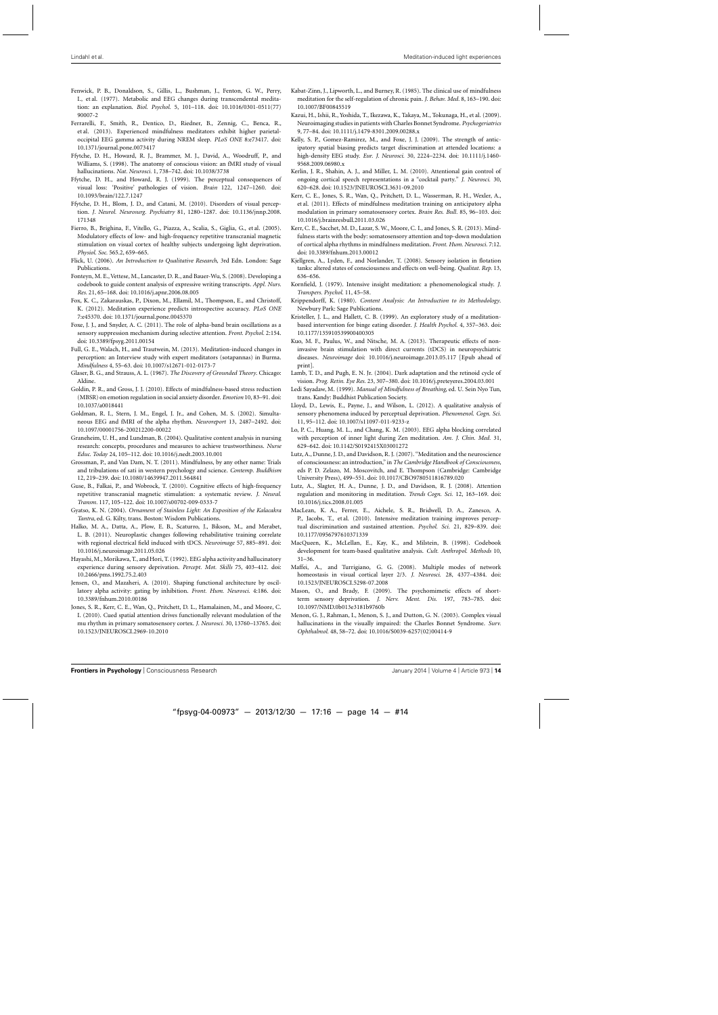- <span id="page-13-0"></span>Fenwick, P. B., Donaldson, S., Gillis, L., Bushman, J., Fenton, G. W., Perry, I., et al. (1977). Metabolic and EEG changes during transcendental meditation: an explanation. *Biol. Psychol.* 5, 101–118. doi: 10.1016/0301-0511(77) 90007-2
- Ferrarelli, F., Smith, R., Dentico, D., Riedner, B., Zennig, C., Benca, R., et al. (2013). Experienced mindfulness meditators exhibit higher parietaloccipital EEG gamma activity during NREM sleep. *PLoS ONE* 8:e73417. doi: 10.1371/journal.pone.0073417
- Ffytche, D. H., Howard, R. J., Brammer, M. J., David, A., Woodruff, P., and Williams, S. (1998). The anatomy of conscious vision: an fMRI study of visual hallucinations. *Nat. Neurosci.* 1, 738–742. doi: 10.1038/3738
- Ffytche, D. H., and Howard, R. J. (1999). The perceptual consequences of visual loss: 'Positive' pathologies of vision. *Brain* 122, 1247–1260. doi: 10.1093/brain/122.7.1247
- Ffytche, D. H., Blom, J. D., and Catani, M. (2010). Disorders of visual perception. *J. Neurol. Neurosurg. Psychiatry* 81, 1280–1287. doi: 10.1136/jnnp.2008. 171348
- Fierro, B., Brighina, F., Vitello, G., Piazza, A., Scalia, S., Giglia, G., et al. (2005). Modulatory effects of low- and high-frequency repetitive transcranial magnetic stimulation on visual cortex of healthy subjects undergoing light deprivation. *Physiol. Soc.* 565.2, 659–665.
- Flick, U. (2006). *An Introduction to Qualitative Research*, 3rd Edn. London: Sage Publications.
- Fonteyn, M. E., Vettese, M., Lancaster, D. R., and Bauer-Wu, S. (2008). Developing a codebook to guide content analysis of expressive writing transcripts. *Appl. Nurs. Res.* 21, 65–168. doi: 10.1016/j.apnr.2006.08.005
- Fox, K. C., Zakarauskas, P., Dixon, M., Ellamil, M., Thompson, E., and Christoff, K. (2012). Meditation experience predicts introspective accuracy. *PLoS ONE* 7:e45370. doi: 10.1371/journal.pone.0045370
- Foxe, J. J., and Snyder, A. C. (2011). The role of alpha-band brain oscillations as a sensory suppression mechanism during selective attention. *Front. Psychol.* 2:154. doi: 10.3389/fpsyg.2011.00154
- Full, G. E., Walach, H., and Trautwein, M. (2013). Meditation-induced changes in perception: an Interview study with expert meditators (sotapannas) in Burma. *Mindfulness* 4, 55–63. doi: 10.1007/s12671-012-0173-7
- Glaser, B. G., and Strauss, A. L. (1967). *The Discovery of Grounded Theory*. Chicago: Aldine.
- Goldin, P. R., and Gross, J. J. (2010). Effects of mindfulness-based stress reduction (MBSR) on emotion regulation in social anxiety disorder. *Emotion* 10, 83–91. doi: 10.1037/a0018441
- Goldman, R. I., Stern, J. M., Engel, J. Jr., and Cohen, M. S. (2002). Simultaneous EEG and fMRI of the alpha rhythm. *Neuroreport* 13, 2487–2492. doi: 10.1097/00001756-200212200-00022
- Graneheim, U. H., and Lundman, B. (2004). Qualitative content analysis in nursing research: concepts, procedures and measures to achieve trustworthiness. *Nurse Educ. Today* 24, 105–112. doi: 10.1016/j.nedt.2003.10.001
- Grossman, P., and Van Dam, N. T. (2011). Mindfulness, by any other name: Trials and tribulations of sati in western psychology and science. *Contemp. Buddhism* 12, 219–239. doi: 10.1080/14639947.2011.564841
- Guse, B., Falkai, P., and Wobrock, T. (2010). Cognitive effects of high-frequency repetitive transcranial magnetic stimulation: a systematic review. *J. Neural. Transm.* 117, 105–122. doi: 10.1007/s00702-009-0333-7
- Gyatso, K. N. (2004). *Ornament of Stainless Light: An Exposition of the Kalacakra Tantra*, ed. G. Kilty, trans. Boston: Wisdom Publications.
- Halko, M. A., Datta, A., Plow, E. B., Scaturro, J., Bikson, M., and Merabet, L. B. (2011). Neuroplastic changes following rehabilitative training correlate with regional electrical field induced with tDCS. *Neuroimage* 57, 885–891. doi: 10.1016/j.neuroimage.2011.05.026
- Hayashi, M., Morikawa, T., and Hori, T. (1992). EEG alpha activity and hallucinatory experience during sensory deprivation. *Percept. Mot. Skills* 75, 403–412. doi: 10.2466/pms.1992.75.2.403
- Jensen, O., and Mazaheri, A. (2010). Shaping functional architecture by oscillatory alpha activity: gating by inhibition. *Front. Hum. Neurosci.* 4:186. doi: 10.3389/fnhum.2010.00186
- Jones, S. R., Kerr, C. E., Wan, Q., Pritchett, D. L., Hamalainen, M., and Moore, C. I. (2010). Cued spatial attention drives functionally relevant modulation of the mu rhythm in primary somatosensory cortex. *J. Neurosci.* 30, 13760–13765. doi: 10.1523/JNEUROSCI.2969-10.2010
- Kabat-Zinn, J., Lipworth, L., and Burney, R. (1985). The clinical use of mindfulness meditation for the self-regulation of chronic pain. *J. Behav. Med.* 8, 163–190. doi: 10.1007/BF00845519
- Kazui, H., Ishii, R., Yoshida, T., Ikezawa, K., Takaya, M., Tokunaga, H., et al. (2009). Neuroimaging studies in patients with Charles Bonnet Syndrome. *Psychogeriatrics* 9, 77–84. doi: 10.1111/j.1479-8301.2009.00288.x
- Kelly, S. P., Gomez-Ramirez, M., and Foxe, J. J. (2009). The strength of anticipatory spatial biasing predicts target discrimination at attended locations: a high-density EEG study. *Eur. J. Neurosci.* 30, 2224–2234. doi: 10.1111/j.1460- 9568.2009.06980.x
- Kerlin, J. R., Shahin, A. J., and Miller, L. M. (2010). Attentional gain control of ongoing cortical speech representations in a "cocktail party." *J. Neurosci.* 30, 620–628. doi: 10.1523/JNEUROSCI.3631-09.2010
- Kerr, C. E., Jones, S. R., Wan, Q., Pritchett, D. L., Wasserman, R. H., Wexler, A., et al. (2011). Effects of mindfulness meditation training on anticipatory alpha modulation in primary somatosensory cortex. *Brain Res. Bull.* 85, 96–103. doi: 10.1016/j.brainresbull.2011.03.026
- Kerr, C. E., Sacchet, M. D., Lazar, S. W., Moore, C. I., and Jones, S. R. (2013). Mindfulness starts with the body: somatosensory attention and top-down modulation of cortical alpha rhythms in mindfulness meditation. *Front. Hum. Neurosci.* 7:12. doi: 10.3389/fnhum.2013.00012
- Kjellgren, A., Lyden, F., and Norlander, T. (2008). Sensory isolation in flotation tanks: altered states of consciousness and effects on well-being. *Qualitat. Rep.* 13, 636–656.
- Kornfield, J. (1979). Intensive insight meditation: a phenomenological study. *J. Transpers. Psychol.* 11, 45–58.
- Krippendorff, K. (1980). *Content Analysis: An Introduction to its Methodology*. Newbury Park: Sage Publications.
- Kristeller, J. L., and Hallett, C. B. (1999). An exploratory study of a meditationbased intervention for binge eating disorder. *J. Health Psychol.* 4, 357–363. doi: 10.1177/135910539900400305
- Kuo, M. F., Paulus, W., and Nitsche, M. A. (2013). Therapeutic effects of noninvasive brain stimulation with direct currents (tDCS) in neuropsychiatric diseases. *Neuroimage* doi: 10.1016/j.neuroimage.2013.05.117 [Epub ahead of print].
- Lamb, T. D., and Pugh, E. N. Jr. (2004). Dark adaptation and the retinoid cycle of vision. *Prog. Retin. Eye Res.* 23, 307–380. doi: 10.1016/j.preteyeres.2004.03.001
- Ledi Sayadaw, M. (1999). *Manual of Mindfulness of Breathing*, ed. U. Sein Nyo Tun, trans. Kandy: Buddhist Publication Society.
- Lloyd, D., Lewis, E., Payne, J., and Wilson, L. (2012). A qualitative analysis of sensory phenomena induced by perceptual deprivation. *Phenomenol. Cogn. Sci.* 11, 95–112. doi: 10.1007/s11097-011-9233-z
- Lo, P. C., Huang, M. L., and Chang, K. M. (2003). EEG alpha blocking correlated with perception of inner light during Zen meditation. *Am. J. Chin. Med.* 31, 629–642. doi: 10.1142/S0192415X03001272
- Lutz, A., Dunne, J. D., and Davidson, R. J. (2007). "Meditation and the neuroscience of consciousness: an introduction," in *The Cambridge Handbook of Consciousness*, eds P. D. Zelazo, M. Moscovitch, and E. Thompson (Cambridge: Cambridge University Press), 499–551. doi: 10.1017/CBO9780511816789.020
- Lutz, A., Slagter, H. A., Dunne, J. D., and Davidson, R. J. (2008). Attention regulation and monitoring in meditation. *Trends Cogn. Sci.* 12, 163–169. doi: 10.1016/j.tics.2008.01.005
- MacLean, K. A., Ferrer, E., Aichele, S. R., Bridwell, D. A., Zanesco, A. P., Jacobs, T., et al. (2010). Intensive meditation training improves perceptual discrimination and sustained attention. *Psychol. Sci.* 21, 829–839. doi: 10.1177/0956797610371339
- MacQueen, K., McLellan, E., Kay, K., and Milstein, B. (1998). Codebook development for team-based qualitative analysis. *Cult. Anthropol. Methods* 10, 31–36.
- Maffei, A., and Turrigiano, G. G. (2008). Multiple modes of network homeostasis in visual cortical layer 2/3. *J. Neurosci.* 28, 4377–4384. doi: 10.1523/JNEUROSCI.5298-07.2008
- Mason, O., and Brady, F. (2009). The psychomimetic effects of shortterm sensory deprivation. *J. Nerv. Ment. Dis.* 197, 783–785. doi: 10.1097/NMD.0b013e3181b9760b
- Menon, G. J., Rahman, I., Menon, S. J., and Dutton, G. N. (2003). Complex visual hallucinations in the visually impaired: the Charles Bonnet Syndrome. *Surv. Ophthalmol.* 48, 58–72. doi: 10.1016/S0039-6257(02)00414-9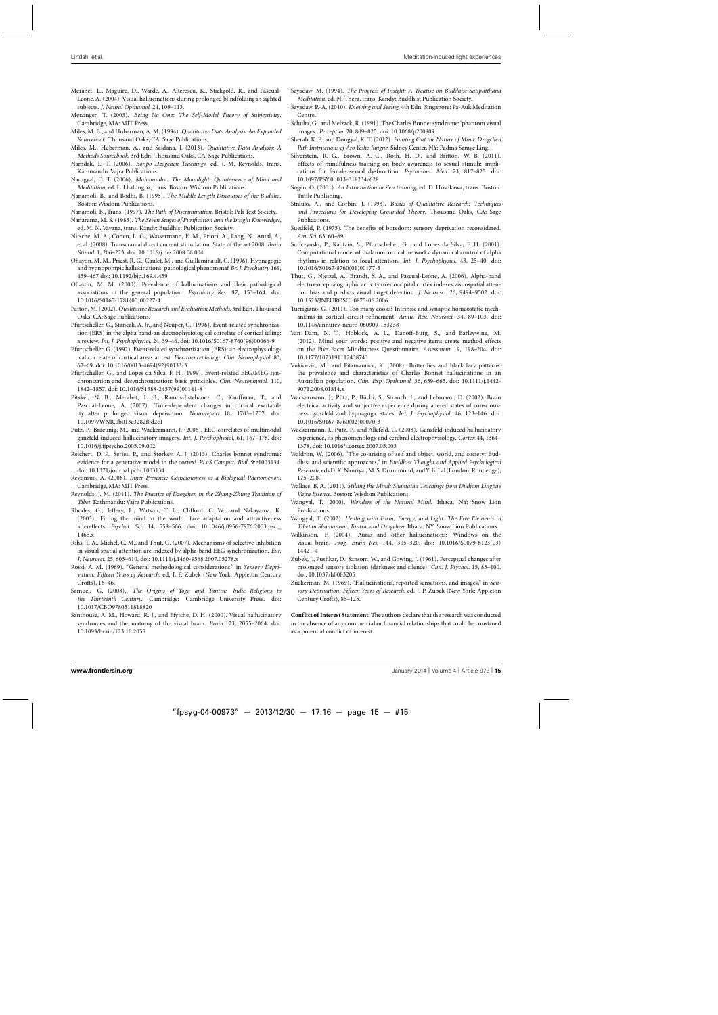- <span id="page-14-0"></span>Merabet, L., Maguire, D., Warde, A., Alterescu, K., Stickgold, R., and Pascual-Leone, A. (2004). Visual hallucinations during prolonged blindfolding in sighted subjects. *J. Neural Opthamol.* 24, 109–113.
- Metzinger, T. (2003). *Being No One: The Self-Model Theory of Subjectivity*. Cambridge, MA: MIT Press.
- Miles, M. B., and Huberman, A. M. (1994). *Qualitative Data Analysis: An Expanded Sourcebook*. Thousand Oaks, CA: Sage Publications.
- Miles, M., Huberman, A., and Saldana, J. (2013). *Qualitative Data Analysis: A Methods Sourcebook*, 3rd Edn. Thousand Oaks, CA: Sage Publications.
- Namdak, L. T. (2006). *Bonpo Dzogchen Teachings*, ed. J. M. Reynolds, trans. Kathmandu: Vajra Publications.
- Namgyal, D. T. (2006). *Mahamudra: The Moonlight: Quintessence of Mind and Meditation*, ed. L. Lhalungpa, trans. Boston: Wisdom Publications.
- Nanamoli, B., and Bodhi, B. (1995). *The Middle Length Discourses of the Buddha*. Boston: Wisdom Publications.
- Nanamoli, B., Trans. (1997). *The Path of Discrimination*. Bristol: Pali Text Society.
- Nanarama, M. S. (1983). *The Seven Stages of Purification and the Insight Knowledges*, ed. M. N. Vayana, trans. Kandy: Buddhist Publication Society.
- Nitsche, M. A., Cohen, L. G., Wassermann, E. M., Priori, A., Lang, N., Antal, A., et al. (2008). Transcranial direct current stimulation: State of the art 2008. *Brain Stimul.* 1, 206–223. doi: 10.1016/j.brs.2008.06.004
- Ohayon, M. M., Priest, R. G., Caulet, M., and Guilleminault, C. (1996). Hypnagogic and hypnopompic hallucinations: pathological phenomena? *Br. J. Psychiatry* 169, 459–467 doi: 10.1192/bjp.169.4.459
- Ohayon, M. M. (2000). Prevalence of hallucinations and their pathological associations in the general population. *Psychiatry Res.* 97, 153–164. doi: 10.1016/S0165-1781(00)00227-4
- Patton, M. (2002). *Qualitative Research and Evaluation Methods*, 3rd Edn. Thousand Oaks, CA: Sage Publications.
- Pfurtscheller, G., Stancak, A. Jr., and Neuper, C. (1996). Event-related synchronization (ERS) in the alpha band-an electrophysiological correlate of cortical idling: a review. *Int. J. Psychophysiol.* 24, 39–46. doi: 10.1016/S0167-8760(96)00066-9
- Pfurtscheller, G. (1992). Event-related synchronization (ERS): an electrophysiological correlate of cortical areas at rest. *Electroencephalogr. Clin. Neurophysiol.* 83, 62–69. doi: 10.1016/0013-4694(92)90133-3
- Pfurtscheller, G., and Lopes da Silva, F. H. (1999). Event-related EEG/MEG synchronization and desynchronization: basic principles. *Clin. Neurophysiol.* 110, 1842–1857. doi: 10.1016/S1388-2457(99)00141-8
- Pitskel, N. B., Merabet, L. B., Ramos-Estebanez, C., Kauffman, T., and Pascual-Leone, A. (2007). Time-dependent changes in cortical excitability after prolonged visual deprivation. *Neuroreport* 18, 1703–1707. doi: 10.1097/WNR.0b013e3282f0d2c1
- Pütz, P., Braeunig, M., and Wackermann, J. (2006). EEG correlates of multimodal ganzfeld induced hallucinatory imagery. *Int. J. Psychophysiol.* 61, 167–178. doi: 10.1016/j.ijpsycho.2005.09.002
- Reichert, D. P., Series, P., and Storkey, A. J. (2013). Charles bonnet syndrome: evidence for a generative model in the cortex? *PLoS Comput. Biol.* 9:e1003134. doi: 10.1371/journal.pcbi.1003134
- Revonsuo, A. (2006). *Inner Presence: Consciousness as a Biological Phenomenon*. Cambridge, MA: MIT Press.
- Reynolds, J. M. (2011). *The Practice of Dzogchen in the Zhang-Zhung Tradition of Tibet*. Kathmandu: Vajra Publications.
- Rhodes, G., Jeffery, L., Watson, T. L., Clifford, C. W., and Nakayama, K. (2003). Fitting the mind to the world: face adaptation and attractiveness aftereffects. *Psychol. Sci.* 14, 558–566. doi: 10.1046/j.0956-7976.2003.psci\_ 1465.x
- Rihs, T. A., Michel, C. M., and Thut, G. (2007). Mechanisms of selective inhibition in visual spatial attention are indexed by alpha-band EEG synchronization. *Eur. J. Neurosci.* 25, 603–610. doi: 10.1111/j.1460-9568.2007.05278.x
- Rossi, A. M. (1969). "General methodological considerations," in *Sensory Deprivation: Fifteen Years of Research*, ed. J. P. Zubek (New York: Appleton Century Crofts), 16–46.
- Samuel, G. (2008). *The Origins of Yoga and Tantra: Indic Religions to the Thirteenth Century.* Cambridge: Cambridge University Press. doi: 10.1017/CBO9780511818820
- Santhouse, A. M., Howard, R. J., and Ffytche, D. H. (2000). Visual hallucinatory syndromes and the anatomy of the visual brain. *Brain* 123, 2055–2064. doi: 10.1093/brain/123.10.2055
- Sayadaw, M. (1994). *The Progress of Insight: A Treatise on Buddhist Satipatthana Meditation*, ed. N. Thera, trans. Kandy: Buddhist Publication Society.
- Sayadaw, P.-A. (2010). *Knowing and Seeing*, 4th Edn. Singapore: Pa-Auk Meditation Centre.
- Schultz, G., and Melzack, R. (1991). The Charles Bonnet syndrome: 'phantom visual images.' *Perception* 20, 809–825. doi: 10.1068/p200809
- Sherab, K. P., and Dongyal, K. T. (2012). *Pointing Out the Nature of Mind: Dzogchen Pith Instructions of Aro Yeshe Jungne*. Sidney Center, NY: Padma Samye Ling.
- Silverstein, R. G., Brown, A. C., Roth, H. D., and Britton, W. B. (2011). Effects of mindfulness training on body awareness to sexual stimuli: implications for female sexual dysfunction. *Psychosom. Med.* 73, 817–825. doi: 10.1097/PSY.0b013e318234e628
- Sogen, O. (2001). *An Introduction to Zen training*, ed. D. Hosokawa, trans. Boston: Tuttle Publishing.
- Strauss, A., and Corbin, J. (1998). *Basics of Qualitative Research: Techniques and Procedures for Developing Grounded Theory*. Thousand Oaks, CA: Sage Publications.
- Suedfeld, P. (1975). The benefits of boredom: sensory deprivation reconsidered. *Am. Sci.* 63, 60–69.
- Suffczynski, P., Kalitzin, S., Pfurtscheller, G., and Lopes da Silva, F. H. (2001). Computational model of thalamo-cortical networks: dynamical control of alpha rhythms in relation to focal attention. *Int. J. Psychophysiol.* 43, 25–40. doi: 10.1016/S0167-8760(01)00177-5
- Thut, G., Nietzel, A., Brandt, S. A., and Pascual-Leone, A. (2006). Alpha-band electroencephalographic activity over occipital cortex indexes visuospatial attention bias and predicts visual target detection. *J. Neurosci.* 26, 9494–9502. doi: 10.1523/JNEUROSCI.0875-06.2006
- Turrigiano, G. (2011). Too many cooks? Intrinsic and synaptic homeostatic mechanisms in cortical circuit refinement. *Annu. Rev. Neurosci.* 34, 89–103. doi: 10.1146/annurev-neuro-060909-153238
- Van Dam, N. T., Hobkirk, A. L., Danoff-Burg, S., and Earleywine, M. (2012). Mind your words: positive and negative items create method effects on the Five Facet Mindfulness Questionnaire. *Assessment* 19, 198–204. doi: 10.1177/1073191112438743
- Vukicevic, M., and Fitzmaurice, K. (2008). Butterflies and black lacy patterns: the prevalence and characteristics of Charles Bonnet hallucinations in an Australian population. *Clin. Exp. Opthamol.* 36, 659–665. doi: 10.1111/j.1442- 9071.2008.01814.x
- Wackermann, J., Pütz, P., Büchi, S., Strauch, I., and Lehmann, D. (2002). Brain electrical activity and subjective experience during altered states of consciousness: ganzfeld and hypnagogic states. *Int. J. Psychophysiol.* 46, 123–146. doi: 10.1016/S0167-8760(02)00070-3
- Wackermann, J., Pütz, P., and Allefeld, C. (2008). Ganzfeld-induced hallucinatory experience, its phenomenology and cerebral electrophysiology. *Cortex* 44, 1364– 1378. doi: 10.1016/j.cortex.2007.05.003
- Waldron, W. (2006). "The co-arising of self and object, world, and society: Buddhist and scientific approaches," in *Buddhist Thought and Applied Psychological* Research, eds D. K. Nauriyal, M. S. Drummond, and Y. B. Lal (London: Routledge), 175–208.
- Wallace, B. A. (2011). *Stilling the Mind: Shamatha Teachings from Dudjom Lingpa's Vajra Essence*. Boston: Wisdom Publications.
- Wangyal, T. (2000). *Wonders of the Natural Mind*. Ithaca, NY: Snow Lion Publications.
- Wangyal, T. (2002). *Healing with Form, Energy, and Light: The Five Elements in Tibetan Shamanism, Tantra, and Dzogchen*. Ithaca, NY: Snow Lion Publications.
- Wilkinson, F. (2004). Auras and other hallucinations: Windows on the visual brain. *Prog. Brain Res.* 144, 305–320. doi: 10.1016/S0079-6123(03) 14421-4
- Zubek, J., Pushkar, D., Sansom, W., and Gowing, J. (1961). Perceptual changes after prolonged sensory isolation (darkness and silence). *Can. J. Psychol.* 15, 83–100. doi: 10.1037/h0083205
- Zuckerman, M. (1969). "Hallucinations, reported sensations, and images," in *Sensory Deprivation: Fifteen Years of Research*, ed. J. P. Zubek (New York: Appleton Century Crofts), 85–125.

**Conflict of Interest Statement:** The authors declare that the research was conducted in the absence of any commercial or financial relationships that could be construed as a potential conflict of interest.